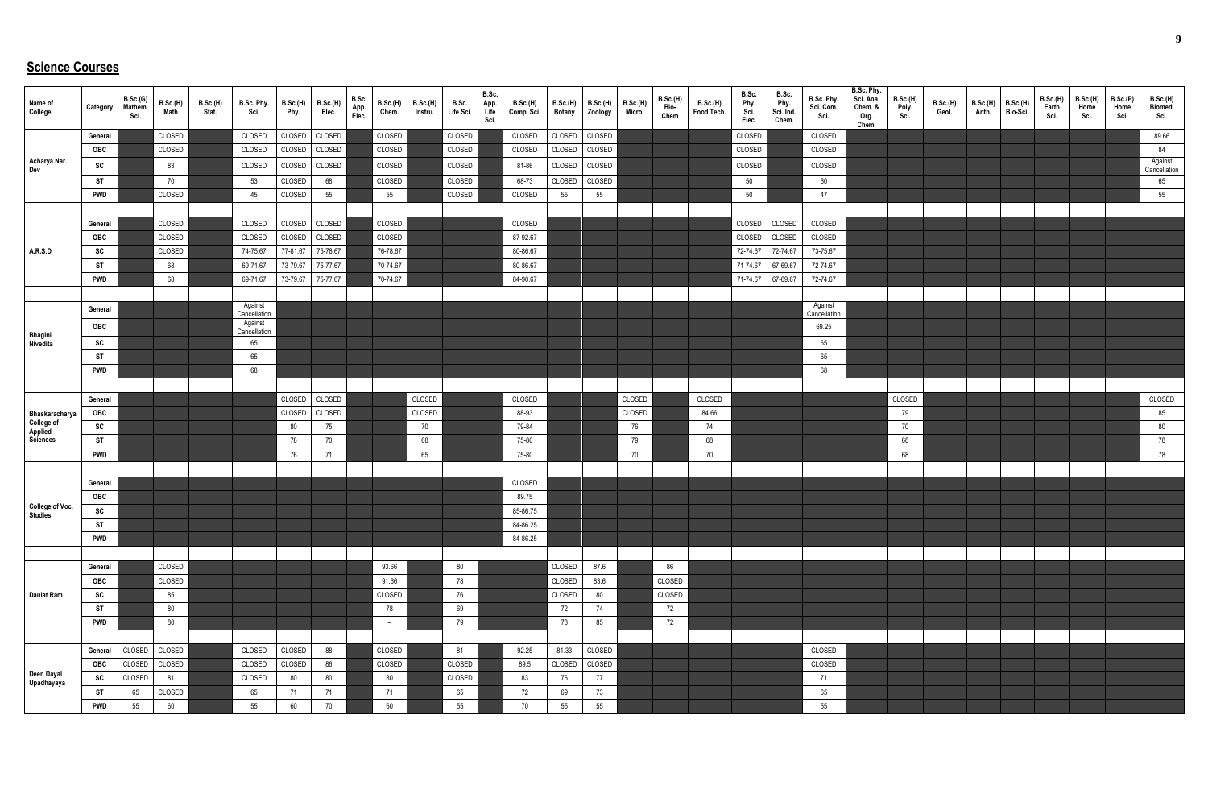## **Science Courses**

| Name of<br>College                         | Category   | B.Sc.(G)<br>Mathem.<br>Sci. | B.Sc.(H)<br>Math | <b>B.Sc.(H)</b><br>Stat. | B.Sc. Phy.<br>Sci.      | B.Sc.(H)<br>Phy. | <b>B.Sc.(H)</b><br>Elec. | B.Sc.<br>App.<br>Elec. | B.Sc.(H)<br>Chem. | <b>B.Sc.(H)</b><br>Instru. | B.Sc.<br>Life Sci. | B.Sc.<br>App.<br>Life<br>Sci. | <b>B.Sc.(H)</b><br>Comp. Sci. | <b>B.Sc.(H)</b><br><b>Botany</b> | <b>B.Sc.(H)</b><br>Zoology | <b>B.Sc.(H)</b><br>Micro. | B.Sc.(H)<br>Bio-<br>Chem | B.Sc.(H)<br>Food Tech. | B.Sc.<br>Phy.<br>Sci.<br>Elec. | B.Sc.<br>Phy.<br>Sci. Ind.<br>Chem. | B.Sc. Phy.<br>Sci. Com.<br>Sci. | B.Sc. Phy.<br>Sci. Ana.<br>Chem. &<br>Org.<br>Chem. | B.Sc.(H)<br>Poly.<br>Sci. | B.Sc.(H)<br>Geol. | <b>B.Sc.(H)</b><br>Anth. | B.Sc.(H)<br>Bio-Sci. | <b>B.Sc.(H)</b><br>Earth<br>Sci. | B.Sc.(H)<br>Home<br>Sci. | B.Sc.(P)<br>Home<br>Sci. | B.Sc.(H)<br>Biomed.<br>Sci. |
|--------------------------------------------|------------|-----------------------------|------------------|--------------------------|-------------------------|------------------|--------------------------|------------------------|-------------------|----------------------------|--------------------|-------------------------------|-------------------------------|----------------------------------|----------------------------|---------------------------|--------------------------|------------------------|--------------------------------|-------------------------------------|---------------------------------|-----------------------------------------------------|---------------------------|-------------------|--------------------------|----------------------|----------------------------------|--------------------------|--------------------------|-----------------------------|
|                                            | General    |                             | CLOSED           |                          | CLOSED                  | CLOSED           | CLOSED                   |                        | CLOSED            |                            | CLOSED             |                               | CLOSED                        | CLOSED                           | CLOSED                     |                           |                          |                        | CLOSED                         |                                     | CLOSED                          |                                                     |                           |                   |                          |                      |                                  |                          |                          | 89.66                       |
|                                            | <b>OBC</b> |                             | CLOSED           |                          | CLOSED                  | CLOSED           | CLOSED                   |                        | CLOSED            |                            | CLOSED             |                               | CLOSED                        | CLOSED                           | CLOSED                     |                           |                          |                        | CLOSED                         |                                     | CLOSED                          |                                                     |                           |                   |                          |                      |                                  |                          |                          | 84                          |
| Acharya Nar.<br>Dev                        | SC         |                             | 83               |                          | CLOSED                  | CLOSED           | CLOSED                   |                        | CLOSED            |                            | CLOSED             |                               | 81-86                         | CLOSED                           | CLOSED                     |                           |                          |                        | CLOSED                         |                                     | CLOSED                          |                                                     |                           |                   |                          |                      |                                  |                          |                          | Against<br>Cancellation     |
|                                            | ST         |                             | 70               |                          | 53                      | CLOSED           | 68                       |                        | CLOSED            |                            | CLOSED             |                               | 68-73                         | CLOSED                           | CLOSED                     |                           |                          |                        | 50                             |                                     | 60                              |                                                     |                           |                   |                          |                      |                                  |                          |                          | 65                          |
|                                            | <b>PWD</b> |                             | CLOSED           |                          | 45                      | CLOSED           | 55                       |                        | 55                |                            | CLOSED             |                               | CLOSED                        | 55                               | 55                         |                           |                          |                        | 50                             |                                     | 47                              |                                                     |                           |                   |                          |                      |                                  |                          |                          | 55                          |
|                                            |            |                             |                  |                          |                         |                  |                          |                        |                   |                            |                    |                               |                               |                                  |                            |                           |                          |                        |                                |                                     |                                 |                                                     |                           |                   |                          |                      |                                  |                          |                          |                             |
|                                            | General    |                             | CLOSED           |                          | CLOSED                  | CLOSED           | CLOSED                   |                        | CLOSED            |                            |                    |                               | CLOSED                        |                                  |                            |                           |                          |                        | CLOSED                         | CLOSED                              | CLOSED                          |                                                     |                           |                   |                          |                      |                                  |                          |                          |                             |
|                                            | OBC        |                             | CLOSED           |                          | CLOSED                  | CLOSED           | CLOSED                   |                        | CLOSED            |                            |                    |                               | 87-92.67                      |                                  |                            |                           |                          |                        | CLOSED                         | CLOSED                              | CLOSED                          |                                                     |                           |                   |                          |                      |                                  |                          |                          |                             |
| <b>A.R.S.D</b>                             | SC         |                             | CLOSED           |                          | 74-75.67                | 77-81.67         | 75-78.67                 |                        | 76-78.67          |                            |                    |                               | 80-86.67                      |                                  |                            |                           |                          |                        | 72-74.67                       | 72-74.67                            | 73-75.67                        |                                                     |                           |                   |                          |                      |                                  |                          |                          |                             |
|                                            | <b>ST</b>  |                             | 68               |                          | 69-71.67                | 73-79.67         | 75-77.67                 |                        | 70-74.67          |                            |                    |                               | 80-86.67                      |                                  |                            |                           |                          |                        | 71-74.67                       | 67-69.67                            | 72-74.67                        |                                                     |                           |                   |                          |                      |                                  |                          |                          |                             |
|                                            | <b>PWD</b> |                             | 68               |                          | 69-71.67                | 73-79.67         | 75-77.67                 |                        | 70-74.67          |                            |                    |                               | 84-90.67                      |                                  |                            |                           |                          |                        | 71-74.67                       | 67-69.67                            | 72-74.67                        |                                                     |                           |                   |                          |                      |                                  |                          |                          |                             |
|                                            |            |                             |                  |                          |                         |                  |                          |                        |                   |                            |                    |                               |                               |                                  |                            |                           |                          |                        |                                |                                     |                                 |                                                     |                           |                   |                          |                      |                                  |                          |                          |                             |
|                                            | General    |                             |                  |                          | Against<br>Cancellation |                  |                          |                        |                   |                            |                    |                               |                               |                                  |                            |                           |                          |                        |                                |                                     | Against<br>Cancellation         |                                                     |                           |                   |                          |                      |                                  |                          |                          |                             |
|                                            | OBC        |                             |                  |                          | Against                 |                  |                          |                        |                   |                            |                    |                               |                               |                                  |                            |                           |                          |                        |                                |                                     | 69.25                           |                                                     |                           |                   |                          |                      |                                  |                          |                          |                             |
| Bhagini<br>Nivedita                        | SC         |                             |                  |                          | Cancellation<br>65      |                  |                          |                        |                   |                            |                    |                               |                               |                                  |                            |                           |                          |                        |                                |                                     | 65                              |                                                     |                           |                   |                          |                      |                                  |                          |                          |                             |
|                                            | <b>ST</b>  |                             |                  |                          | 65                      |                  |                          |                        |                   |                            |                    |                               |                               |                                  |                            |                           |                          |                        |                                |                                     | 65                              |                                                     |                           |                   |                          |                      |                                  |                          |                          |                             |
|                                            | <b>PWD</b> |                             |                  |                          | 68                      |                  |                          |                        |                   |                            |                    |                               |                               |                                  |                            |                           |                          |                        |                                |                                     | 68                              |                                                     |                           |                   |                          |                      |                                  |                          |                          |                             |
|                                            |            |                             |                  |                          |                         |                  |                          |                        |                   |                            |                    |                               |                               |                                  |                            |                           |                          |                        |                                |                                     |                                 |                                                     |                           |                   |                          |                      |                                  |                          |                          |                             |
|                                            | General    |                             |                  |                          |                         | CLOSED           | CLOSED                   |                        |                   | CLOSED                     |                    |                               | CLOSED                        |                                  |                            | CLOSED                    |                          | CLOSED                 |                                |                                     |                                 |                                                     | CLOSED                    |                   |                          |                      |                                  |                          |                          | CLOSED                      |
| Bhaskaracharya                             | OBC        |                             |                  |                          |                         | CLOSED           | CLOSED                   |                        |                   | CLOSED                     |                    |                               | 88-93                         |                                  |                            | CLOSED                    |                          | 84.66                  |                                |                                     |                                 |                                                     | 79                        |                   |                          |                      |                                  |                          |                          | 85                          |
|                                            | SC         |                             |                  |                          |                         | 80               | 75                       |                        |                   | 70                         |                    |                               | 79-84                         |                                  |                            | 76                        |                          | 74                     |                                |                                     |                                 |                                                     | 70                        |                   |                          |                      |                                  |                          |                          | 80                          |
| <b>College of<br/>Applied<br/>Sciences</b> | <b>ST</b>  |                             |                  |                          |                         | 78               | 70                       |                        |                   | 68                         |                    |                               | 75-80                         |                                  |                            | 79                        |                          | 68                     |                                |                                     |                                 |                                                     | 68                        |                   |                          |                      |                                  |                          |                          | 78                          |
|                                            | <b>PWD</b> |                             |                  |                          |                         | 76               | 71                       |                        |                   | 65                         |                    |                               | 75-80                         |                                  |                            | 70                        |                          | 70                     |                                |                                     |                                 |                                                     | 68                        |                   |                          |                      |                                  |                          |                          | 78                          |
|                                            |            |                             |                  |                          |                         |                  |                          |                        |                   |                            |                    |                               |                               |                                  |                            |                           |                          |                        |                                |                                     |                                 |                                                     |                           |                   |                          |                      |                                  |                          |                          |                             |
|                                            | General    |                             |                  |                          |                         |                  |                          |                        |                   |                            |                    |                               | CLOSED                        |                                  |                            |                           |                          |                        |                                |                                     |                                 |                                                     |                           |                   |                          |                      |                                  |                          |                          |                             |
|                                            | OBC        |                             |                  |                          |                         |                  |                          |                        |                   |                            |                    |                               | 89.75                         |                                  |                            |                           |                          |                        |                                |                                     |                                 |                                                     |                           |                   |                          |                      |                                  |                          |                          |                             |
| <b>College of Voc.</b><br>Studies          | SC         |                             |                  |                          |                         |                  |                          |                        |                   |                            |                    |                               | 85-86.75                      |                                  |                            |                           |                          |                        |                                |                                     |                                 |                                                     |                           |                   |                          |                      |                                  |                          |                          |                             |
|                                            | <b>ST</b>  |                             |                  |                          |                         |                  |                          |                        |                   |                            |                    |                               | 84-86.25                      |                                  |                            |                           |                          |                        |                                |                                     |                                 |                                                     |                           |                   |                          |                      |                                  |                          |                          |                             |
|                                            | <b>PWD</b> |                             |                  |                          |                         |                  |                          |                        |                   |                            |                    |                               | 84-86.25                      |                                  |                            |                           |                          |                        |                                |                                     |                                 |                                                     |                           |                   |                          |                      |                                  |                          |                          |                             |
|                                            |            |                             |                  |                          |                         |                  |                          |                        |                   |                            |                    |                               |                               |                                  |                            |                           |                          |                        |                                |                                     |                                 |                                                     |                           |                   |                          |                      |                                  |                          |                          |                             |
|                                            | General    |                             | CLOSED           |                          |                         |                  |                          |                        | 93.66             |                            | 80                 |                               |                               | CLOSED                           | 87.6                       |                           | 86                       |                        |                                |                                     |                                 |                                                     |                           |                   |                          |                      |                                  |                          |                          |                             |
|                                            | OBC        |                             | CLOSED           |                          |                         |                  |                          |                        | 91.66             |                            | 78                 |                               |                               | CLOSED                           | 83.6                       |                           | CLOSED                   |                        |                                |                                     |                                 |                                                     |                           |                   |                          |                      |                                  |                          |                          |                             |
| Daulat Ram                                 | SC         |                             | 85               |                          |                         |                  |                          |                        | CLOSED            |                            | 76                 |                               |                               | CLOSED                           | 80                         |                           | CLOSED                   |                        |                                |                                     |                                 |                                                     |                           |                   |                          |                      |                                  |                          |                          |                             |
|                                            | <b>ST</b>  |                             | 80               |                          |                         |                  |                          |                        | 78                |                            | 69                 |                               |                               | 72                               | 74                         |                           | 72                       |                        |                                |                                     |                                 |                                                     |                           |                   |                          |                      |                                  |                          |                          |                             |
|                                            | <b>PWD</b> |                             | 80               |                          |                         |                  |                          |                        | $-$               |                            | 79                 |                               |                               | 78                               | 85                         |                           | 72                       |                        |                                |                                     |                                 |                                                     |                           |                   |                          |                      |                                  |                          |                          |                             |
|                                            |            |                             |                  |                          |                         |                  |                          |                        |                   |                            |                    |                               |                               |                                  |                            |                           |                          |                        |                                |                                     |                                 |                                                     |                           |                   |                          |                      |                                  |                          |                          |                             |
|                                            | General    | CLOSED                      | CLOSED           |                          | CLOSED                  | CLOSED           | 88                       |                        | CLOSED            |                            | 81                 |                               | 92.25                         | 81.33                            | CLOSED                     |                           |                          |                        |                                |                                     | CLOSED                          |                                                     |                           |                   |                          |                      |                                  |                          |                          |                             |
|                                            | OBC        | CLOSED                      | CLOSED           |                          | CLOSED                  | CLOSED           | 86                       |                        | CLOSED            |                            | CLOSED             |                               | 89.5                          | CLOSED                           | CLOSED                     |                           |                          |                        |                                |                                     | CLOSED                          |                                                     |                           |                   |                          |                      |                                  |                          |                          |                             |
| Deen Dayal<br>Upadhayaya                   | <b>SC</b>  | CLOSED                      | 81               |                          | CLOSED                  | 80               | 80                       |                        | 80                |                            | CLOSED             |                               | 83                            | 76                               | 77                         |                           |                          |                        |                                |                                     | 71                              |                                                     |                           |                   |                          |                      |                                  |                          |                          |                             |
|                                            | <b>ST</b>  | 65                          | CLOSED           |                          | 65                      | 71               | 71                       |                        | 71                |                            | 65                 |                               | 72                            | 69                               | 73                         |                           |                          |                        |                                |                                     | 65                              |                                                     |                           |                   |                          |                      |                                  |                          |                          |                             |
|                                            | <b>PWD</b> | 55                          | 60               |                          | 55                      | 60               | 70                       |                        | 60                |                            | 55                 |                               | 70                            | 55                               | 55                         |                           |                          |                        |                                |                                     | 55                              |                                                     |                           |                   |                          |                      |                                  |                          |                          |                             |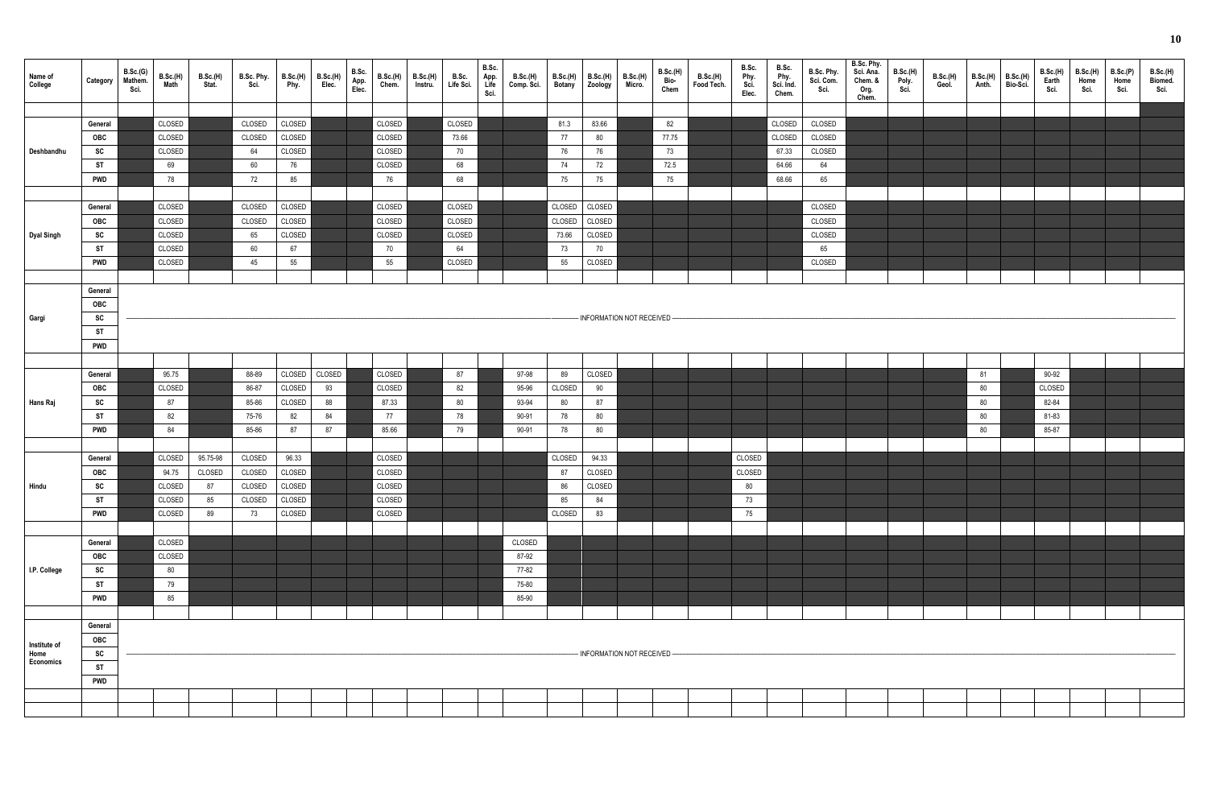| Name of<br>College | Category   | B.Sc.(G)<br>Mathem.<br>Sci. | B.Sc.(H)<br>Math | <b>B.Sc.(H)</b><br>Stat. | B.Sc. Phy.<br>Sci. | B.Sc.(H)<br>Phy. | B.Sc.(H)<br>Elec. | B.Sc.<br>App.<br>Elec. | B.Sc.(H)<br>Chem. | <b>B.Sc.(H)</b><br>Instru. | B.Sc.<br>Life Sci. | B.Sc.<br>App.<br>Life<br>Sci. | B.Sc.(H)<br>Comp. Sci. | B.Sc.(H)<br>Botany | B.Sc.(H)<br>Zoology | B.Sc.(H)<br>Micro.           | <b>B.Sc.(H)</b><br>Bio-<br>Chem | B.Sc.(H)<br>Food Tech. | B.Sc.<br>Phy.<br>Sci.<br>Elec. | B.Sc.<br>Phy.<br>Sci. Ind.<br>Chem. | B.Sc. Phy.<br>Sci. Com.<br>Sci. | B.Sc. Phy.<br>Sci. Ana.<br>Chem. &<br>Org.<br>Chem. | B.Sc.(H)<br>Poly.<br>Sci. | B.Sc.(H)<br>Geol. | B.Sc.(H)<br>Anth. | B.Sc.(H)<br>Bio-Sci. | B.Sc.(H)<br>Earth<br>Sci. | B.Sc.(H)<br>Home<br>Sci. | B.Sc.(P)<br>Home<br>Sci. | <b>B.Sc.(H)</b><br>Biomed.<br>Sci. |
|--------------------|------------|-----------------------------|------------------|--------------------------|--------------------|------------------|-------------------|------------------------|-------------------|----------------------------|--------------------|-------------------------------|------------------------|--------------------|---------------------|------------------------------|---------------------------------|------------------------|--------------------------------|-------------------------------------|---------------------------------|-----------------------------------------------------|---------------------------|-------------------|-------------------|----------------------|---------------------------|--------------------------|--------------------------|------------------------------------|
|                    |            |                             |                  |                          |                    |                  |                   |                        |                   |                            |                    |                               |                        |                    |                     |                              |                                 |                        |                                |                                     |                                 |                                                     |                           |                   |                   |                      |                           |                          |                          |                                    |
|                    | General    |                             | CLOSED           |                          | CLOSED             | CLOSED           |                   |                        | CLOSED            |                            | CLOSED             |                               |                        | 81.3               | 83.66               |                              | 82                              |                        |                                | CLOSED                              | CLOSED                          |                                                     |                           |                   |                   |                      |                           |                          |                          |                                    |
|                    | OBC        |                             | CLOSED           |                          | CLOSED             | CLOSED           |                   |                        | CLOSED            |                            | 73.66              |                               |                        | 77                 | 80                  |                              | 77.75                           |                        |                                | CLOSED                              | CLOSED                          |                                                     |                           |                   |                   |                      |                           |                          |                          |                                    |
| Deshbandhu         | SC         |                             | CLOSED           |                          | 64                 | CLOSED           |                   |                        | CLOSED            |                            | 70                 |                               |                        | 76                 | 76                  |                              | 73                              |                        |                                | 67.33                               | CLOSED                          |                                                     |                           |                   |                   |                      |                           |                          |                          |                                    |
|                    | <b>ST</b>  |                             | 69               |                          | 60                 | 76               |                   |                        | CLOSED            |                            | 68                 |                               |                        | 74                 | 72                  |                              | 72.5                            |                        |                                | 64.66                               | 64                              |                                                     |                           |                   |                   |                      |                           |                          |                          |                                    |
|                    | <b>PWD</b> |                             | 78               |                          | 72                 | 85               |                   |                        | 76                |                            | 68                 |                               |                        | 75                 | 75                  |                              | 75                              |                        |                                | 68.66                               | 65                              |                                                     |                           |                   |                   |                      |                           |                          |                          |                                    |
|                    |            |                             |                  |                          |                    |                  |                   |                        |                   |                            |                    |                               |                        |                    |                     |                              |                                 |                        |                                |                                     |                                 |                                                     |                           |                   |                   |                      |                           |                          |                          |                                    |
|                    | General    |                             | CLOSED           |                          | CLOSED             | CLOSED           |                   |                        | CLOSED            |                            | CLOSED             |                               |                        | CLOSED             | CLOSED              |                              |                                 |                        |                                |                                     | CLOSED                          |                                                     |                           |                   |                   |                      |                           |                          |                          |                                    |
|                    | OBC        |                             | CLOSED           |                          | CLOSED             | CLOSED           |                   |                        | CLOSED            |                            | CLOSED             |                               |                        | CLOSED             | CLOSED              |                              |                                 |                        |                                |                                     | CLOSED                          |                                                     |                           |                   |                   |                      |                           |                          |                          |                                    |
| Dyal Singh         | ${\sf sc}$ |                             | CLOSED           |                          | 65                 | CLOSED           |                   |                        | CLOSED            |                            | CLOSED             |                               |                        | 73.66              | CLOSED              |                              |                                 |                        |                                |                                     | CLOSED                          |                                                     |                           |                   |                   |                      |                           |                          |                          |                                    |
|                    | <b>ST</b>  |                             | CLOSED           |                          | 60                 | 67               |                   |                        | 70                |                            | 64                 |                               |                        | 73                 | 70                  |                              |                                 |                        |                                |                                     | 65                              |                                                     |                           |                   |                   |                      |                           |                          |                          |                                    |
|                    | <b>PWD</b> |                             | CLOSED           |                          | 45                 | 55               |                   |                        | 55                |                            | CLOSED             |                               |                        | 55                 | CLOSED              |                              |                                 |                        |                                |                                     | CLOSED                          |                                                     |                           |                   |                   |                      |                           |                          |                          |                                    |
|                    |            |                             |                  |                          |                    |                  |                   |                        |                   |                            |                    |                               |                        |                    |                     |                              |                                 |                        |                                |                                     |                                 |                                                     |                           |                   |                   |                      |                           |                          |                          |                                    |
|                    | General    |                             |                  |                          |                    |                  |                   |                        |                   |                            |                    |                               |                        |                    |                     |                              |                                 |                        |                                |                                     |                                 |                                                     |                           |                   |                   |                      |                           |                          |                          |                                    |
|                    | OBC        |                             |                  |                          |                    |                  |                   |                        |                   |                            |                    |                               |                        |                    |                     |                              |                                 |                        |                                |                                     |                                 |                                                     |                           |                   |                   |                      |                           |                          |                          |                                    |
| Gargi              | SC         |                             |                  |                          |                    |                  |                   |                        |                   |                            |                    |                               |                        |                    |                     | - INFORMATION NOT RECEIVED - |                                 |                        |                                |                                     |                                 |                                                     |                           |                   |                   |                      |                           |                          |                          |                                    |
|                    | <b>ST</b>  |                             |                  |                          |                    |                  |                   |                        |                   |                            |                    |                               |                        |                    |                     |                              |                                 |                        |                                |                                     |                                 |                                                     |                           |                   |                   |                      |                           |                          |                          |                                    |
|                    | <b>PWD</b> |                             |                  |                          |                    |                  |                   |                        |                   |                            |                    |                               |                        |                    |                     |                              |                                 |                        |                                |                                     |                                 |                                                     |                           |                   |                   |                      |                           |                          |                          |                                    |
|                    |            |                             |                  |                          |                    |                  |                   |                        |                   |                            |                    |                               |                        |                    |                     |                              |                                 |                        |                                |                                     |                                 |                                                     |                           |                   |                   |                      |                           |                          |                          |                                    |
|                    | General    |                             | 95.75            |                          | 88-89              | CLOSED           | CLOSED            |                        | CLOSED            |                            | 87                 |                               | 97-98                  | 89                 | CLOSED              |                              |                                 |                        |                                |                                     |                                 |                                                     |                           |                   | 81                |                      | 90-92                     |                          |                          |                                    |
|                    | OBC        |                             | CLOSED           |                          | 86-87              | CLOSED           | 93                |                        | CLOSED            |                            | 82                 |                               | 95-96                  | CLOSED             | 90                  |                              |                                 |                        |                                |                                     |                                 |                                                     |                           |                   | 80                |                      | CLOSED                    |                          |                          |                                    |
| Hans Raj           | SC         |                             | 87               |                          | 85-86              | CLOSED           | 88                |                        | 87.33             |                            | 80                 |                               | 93-94                  | 80                 | 87                  |                              |                                 |                        |                                |                                     |                                 |                                                     |                           |                   | 80                |                      | 82-84                     |                          |                          |                                    |
|                    | <b>ST</b>  |                             | 82               |                          | 75-76              | 82               | 84                |                        | 77                |                            | 78                 |                               | 90-91                  | 78                 | 80                  |                              |                                 |                        |                                |                                     |                                 |                                                     |                           |                   | 80                |                      | 81-83                     |                          |                          |                                    |
|                    | <b>PWD</b> |                             | 84               |                          | 85-86              | 87               | 87                |                        | 85.66             |                            | 79                 |                               | 90-91                  | 78                 | 80                  |                              |                                 |                        |                                |                                     |                                 |                                                     |                           |                   | 80                |                      | 85-87                     |                          |                          |                                    |
|                    |            |                             |                  |                          |                    |                  |                   |                        |                   |                            |                    |                               |                        |                    |                     |                              |                                 |                        |                                |                                     |                                 |                                                     |                           |                   |                   |                      |                           |                          |                          |                                    |
|                    | General    |                             | CLOSED           | 95.75-98                 | CLOSED             | 96.33            |                   |                        | CLOSED            |                            |                    |                               |                        | CLOSED             | 94.33               |                              |                                 |                        | CLOSED                         |                                     |                                 |                                                     |                           |                   |                   |                      |                           |                          |                          |                                    |
|                    | OBC        |                             | 94.75            | CLOSED                   | CLOSED             | CLOSED           |                   |                        | CLOSED            |                            |                    |                               |                        | 87                 | CLOSED              |                              |                                 |                        | CLOSED                         |                                     |                                 |                                                     |                           |                   |                   |                      |                           |                          |                          |                                    |
| Hindu              | SC         |                             | CLOSED           | 87                       | CLOSED             | CLOSED           |                   |                        | CLOSED            |                            |                    |                               |                        | 86                 | CLOSED              |                              |                                 |                        | 80                             |                                     |                                 |                                                     |                           |                   |                   |                      |                           |                          |                          |                                    |
|                    | ST         |                             | CLOSED           | 85                       | CLOSED             | CLOSED           |                   |                        | CLOSED            |                            |                    |                               |                        | 85                 | 84                  |                              |                                 |                        | 73                             |                                     |                                 |                                                     |                           |                   |                   |                      |                           |                          |                          |                                    |
|                    | <b>PWD</b> |                             | CLOSED           | 89                       | 73                 | CLOSED           |                   |                        | CLOSED            |                            |                    |                               |                        | CLOSED             | 83                  |                              |                                 |                        | 75                             |                                     |                                 |                                                     |                           |                   |                   |                      |                           |                          |                          |                                    |
|                    |            |                             |                  |                          |                    |                  |                   |                        |                   |                            |                    |                               |                        |                    |                     |                              |                                 |                        |                                |                                     |                                 |                                                     |                           |                   |                   |                      |                           |                          |                          |                                    |
|                    | General    |                             | CLOSED           |                          |                    |                  |                   |                        |                   |                            |                    |                               | CLOSED                 |                    |                     |                              |                                 |                        |                                |                                     |                                 |                                                     |                           |                   |                   |                      |                           |                          |                          |                                    |
|                    | OBC        |                             | CLOSED           |                          |                    |                  |                   |                        |                   |                            |                    |                               | 87-92                  |                    |                     |                              |                                 |                        |                                |                                     |                                 |                                                     |                           |                   |                   |                      |                           |                          |                          |                                    |
| I.P. College       | SC         |                             | 80               |                          |                    |                  |                   |                        |                   |                            |                    |                               | 77-82                  |                    |                     |                              |                                 |                        |                                |                                     |                                 |                                                     |                           |                   |                   |                      |                           |                          |                          |                                    |
|                    | <b>ST</b>  |                             | 79               |                          |                    |                  |                   |                        |                   |                            |                    |                               | 75-80                  |                    |                     |                              |                                 |                        |                                |                                     |                                 |                                                     |                           |                   |                   |                      |                           |                          |                          |                                    |
|                    | <b>PWD</b> |                             | 85               |                          |                    |                  |                   |                        |                   |                            |                    |                               | 85-90                  |                    |                     |                              |                                 |                        |                                |                                     |                                 |                                                     |                           |                   |                   |                      |                           |                          |                          |                                    |
|                    |            |                             |                  |                          |                    |                  |                   |                        |                   |                            |                    |                               |                        |                    |                     |                              |                                 |                        |                                |                                     |                                 |                                                     |                           |                   |                   |                      |                           |                          |                          |                                    |
|                    |            |                             |                  |                          |                    |                  |                   |                        |                   |                            |                    |                               |                        |                    |                     |                              |                                 |                        |                                |                                     |                                 |                                                     |                           |                   |                   |                      |                           |                          |                          |                                    |
|                    | General    |                             |                  |                          |                    |                  |                   |                        |                   |                            |                    |                               |                        |                    |                     |                              |                                 |                        |                                |                                     |                                 |                                                     |                           |                   |                   |                      |                           |                          |                          |                                    |
| Institute of       | <b>OBC</b> |                             |                  |                          |                    |                  |                   |                        |                   |                            |                    |                               |                        |                    |                     |                              |                                 |                        |                                |                                     |                                 |                                                     |                           |                   |                   |                      |                           |                          |                          |                                    |
| Home<br>Economics  | SC         |                             |                  |                          |                    |                  |                   |                        |                   |                            |                    |                               |                        |                    |                     | - INFORMATION NOT RECEIVED-  |                                 |                        |                                |                                     |                                 |                                                     |                           |                   |                   |                      |                           |                          |                          |                                    |
|                    | ST         |                             |                  |                          |                    |                  |                   |                        |                   |                            |                    |                               |                        |                    |                     |                              |                                 |                        |                                |                                     |                                 |                                                     |                           |                   |                   |                      |                           |                          |                          |                                    |
|                    | <b>PWD</b> |                             |                  |                          |                    |                  |                   |                        |                   |                            |                    |                               |                        |                    |                     |                              |                                 |                        |                                |                                     |                                 |                                                     |                           |                   |                   |                      |                           |                          |                          |                                    |
|                    |            |                             |                  |                          |                    |                  |                   |                        |                   |                            |                    |                               |                        |                    |                     |                              |                                 |                        |                                |                                     |                                 |                                                     |                           |                   |                   |                      |                           |                          |                          |                                    |
|                    |            |                             |                  |                          |                    |                  |                   |                        |                   |                            |                    |                               |                        |                    |                     |                              |                                 |                        |                                |                                     |                                 |                                                     |                           |                   |                   |                      |                           |                          |                          |                                    |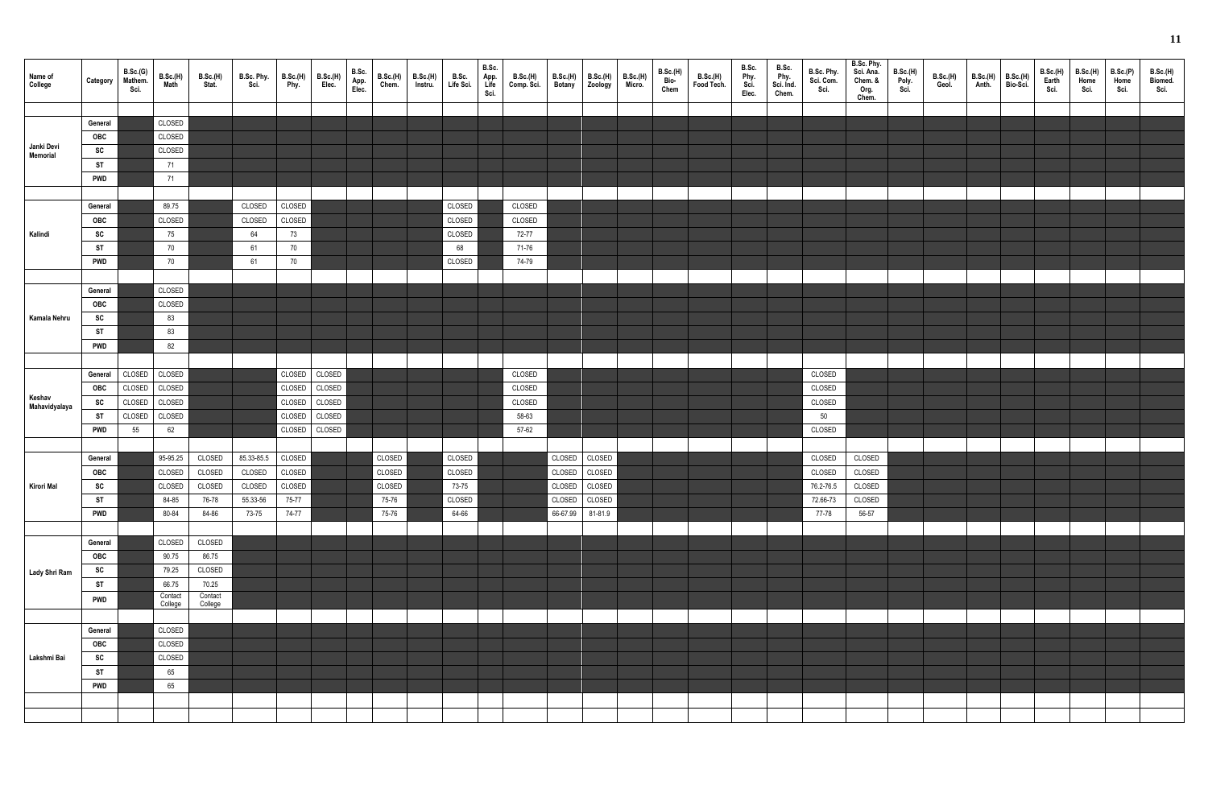| Name of<br>College      | Category   | B.Sc.(G)<br>Mathem.<br>Sci. | B.Sc.(H)<br>Math | <b>B.Sc.(H)</b><br>Stat. | B.Sc. Phy.<br>Sci. | B.Sc.(H)<br>Phy. | <b>B.Sc.(H)</b><br>Elec. | B.Sc.<br>App.<br>Elec. | B.Sc.(H)<br>Chem. | <b>B.Sc.(H)</b><br>Instru. | B.Sc.<br>Life Sci. | B.Sc.<br>App.<br>Life<br>Sci. | B.Sc.(H)<br>Comp. Sci. | <b>B.Sc.(H)</b><br><b>Botany</b> | B.Sc.(H)<br>Zoology | B.Sc.(H)<br>Micro. | <b>B.Sc.(H)</b><br>Bio-<br>Chem | B.Sc.(H)<br>Food Tech. | B.Sc.<br>Phy.<br>Sci.<br>Elec. | B.Sc.<br>Phy.<br>Sci. Ind.<br>Chem. | B.Sc. Phy.<br>Sci. Com.<br>Sci. | B.Sc. Phy.<br>Sci. Ana.<br>Chem. &<br>Org.<br>Chem. | <b>B.Sc.(H)</b><br>Poly.<br>Sci. | B.Sc.(H)<br>Geol. | B.Sc.(H)<br>Anth. | B.Sc.(H)<br>Bio-Sci. | B.Sc.(H)<br>Earth<br>Sci. | <b>B.Sc.(H)</b><br>Home<br>Sci. | <b>B.Sc.(P)</b><br>Home<br>Sci. | B.Sc.(H)<br>Biomed.<br>Sci. |
|-------------------------|------------|-----------------------------|------------------|--------------------------|--------------------|------------------|--------------------------|------------------------|-------------------|----------------------------|--------------------|-------------------------------|------------------------|----------------------------------|---------------------|--------------------|---------------------------------|------------------------|--------------------------------|-------------------------------------|---------------------------------|-----------------------------------------------------|----------------------------------|-------------------|-------------------|----------------------|---------------------------|---------------------------------|---------------------------------|-----------------------------|
|                         |            |                             |                  |                          |                    |                  |                          |                        |                   |                            |                    |                               |                        |                                  |                     |                    |                                 |                        |                                |                                     |                                 |                                                     |                                  |                   |                   |                      |                           |                                 |                                 |                             |
|                         | General    |                             | CLOSED           |                          |                    |                  |                          |                        |                   |                            |                    |                               |                        |                                  |                     |                    |                                 |                        |                                |                                     |                                 |                                                     |                                  |                   |                   |                      |                           |                                 |                                 |                             |
|                         | OBC        |                             | CLOSED           |                          |                    |                  |                          |                        |                   |                            |                    |                               |                        |                                  |                     |                    |                                 |                        |                                |                                     |                                 |                                                     |                                  |                   |                   |                      |                           |                                 |                                 |                             |
| Janki Devi<br>Memorial  | SC         |                             | CLOSED           |                          |                    |                  |                          |                        |                   |                            |                    |                               |                        |                                  |                     |                    |                                 |                        |                                |                                     |                                 |                                                     |                                  |                   |                   |                      |                           |                                 |                                 |                             |
|                         | <b>ST</b>  |                             | 71               |                          |                    |                  |                          |                        |                   |                            |                    |                               |                        |                                  |                     |                    |                                 |                        |                                |                                     |                                 |                                                     |                                  |                   |                   |                      |                           |                                 |                                 |                             |
|                         | <b>PWD</b> |                             | 71               |                          |                    |                  |                          |                        |                   |                            |                    |                               |                        |                                  |                     |                    |                                 |                        |                                |                                     |                                 |                                                     |                                  |                   |                   |                      |                           |                                 |                                 |                             |
|                         |            |                             |                  |                          |                    |                  |                          |                        |                   |                            |                    |                               |                        |                                  |                     |                    |                                 |                        |                                |                                     |                                 |                                                     |                                  |                   |                   |                      |                           |                                 |                                 |                             |
|                         | General    |                             | 89.75            |                          | CLOSED             | CLOSED           |                          |                        |                   |                            | CLOSED             |                               | CLOSED                 |                                  |                     |                    |                                 |                        |                                |                                     |                                 |                                                     |                                  |                   |                   |                      |                           |                                 |                                 |                             |
|                         | OBC        |                             | CLOSED           |                          | CLOSED             | CLOSED           |                          |                        |                   |                            | CLOSED             |                               | CLOSED                 |                                  |                     |                    |                                 |                        |                                |                                     |                                 |                                                     |                                  |                   |                   |                      |                           |                                 |                                 |                             |
| Kalindi                 | SC         |                             | 75               |                          | 64                 | 73               |                          |                        |                   |                            | CLOSED             |                               | 72-77                  |                                  |                     |                    |                                 |                        |                                |                                     |                                 |                                                     |                                  |                   |                   |                      |                           |                                 |                                 |                             |
|                         | <b>ST</b>  |                             | 70               |                          | 61                 | 70               |                          |                        |                   |                            | 68                 |                               | 71-76                  |                                  |                     |                    |                                 |                        |                                |                                     |                                 |                                                     |                                  |                   |                   |                      |                           |                                 |                                 |                             |
|                         | <b>PWD</b> |                             | 70               |                          | 61                 | 70               |                          |                        |                   |                            | CLOSED             |                               | 74-79                  |                                  |                     |                    |                                 |                        |                                |                                     |                                 |                                                     |                                  |                   |                   |                      |                           |                                 |                                 |                             |
|                         |            |                             |                  |                          |                    |                  |                          |                        |                   |                            |                    |                               |                        |                                  |                     |                    |                                 |                        |                                |                                     |                                 |                                                     |                                  |                   |                   |                      |                           |                                 |                                 |                             |
|                         | General    |                             | CLOSED           |                          |                    |                  |                          |                        |                   |                            |                    |                               |                        |                                  |                     |                    |                                 |                        |                                |                                     |                                 |                                                     |                                  |                   |                   |                      |                           |                                 |                                 |                             |
|                         | OBC        |                             | CLOSED           |                          |                    |                  |                          |                        |                   |                            |                    |                               |                        |                                  |                     |                    |                                 |                        |                                |                                     |                                 |                                                     |                                  |                   |                   |                      |                           |                                 |                                 |                             |
| Kamala Nehru            | SC         |                             | 83               |                          |                    |                  |                          |                        |                   |                            |                    |                               |                        |                                  |                     |                    |                                 |                        |                                |                                     |                                 |                                                     |                                  |                   |                   |                      |                           |                                 |                                 |                             |
|                         |            |                             |                  |                          |                    |                  |                          |                        |                   |                            |                    |                               |                        |                                  |                     |                    |                                 |                        |                                |                                     |                                 |                                                     |                                  |                   |                   |                      |                           |                                 |                                 |                             |
|                         | <b>ST</b>  |                             | 83               |                          |                    |                  |                          |                        |                   |                            |                    |                               |                        |                                  |                     |                    |                                 |                        |                                |                                     |                                 |                                                     |                                  |                   |                   |                      |                           |                                 |                                 |                             |
|                         | <b>PWD</b> |                             | 82               |                          |                    |                  |                          |                        |                   |                            |                    |                               |                        |                                  |                     |                    |                                 |                        |                                |                                     |                                 |                                                     |                                  |                   |                   |                      |                           |                                 |                                 |                             |
|                         |            |                             |                  |                          |                    |                  |                          |                        |                   |                            |                    |                               |                        |                                  |                     |                    |                                 |                        |                                |                                     |                                 |                                                     |                                  |                   |                   |                      |                           |                                 |                                 |                             |
|                         | General    | CLOSED                      | CLOSED           |                          |                    | CLOSED           | CLOSED                   |                        |                   |                            |                    |                               | CLOSED                 |                                  |                     |                    |                                 |                        |                                |                                     | CLOSED                          |                                                     |                                  |                   |                   |                      |                           |                                 |                                 |                             |
|                         | OBC        | CLOSED                      | CLOSED           |                          |                    | CLOSED           | CLOSED                   |                        |                   |                            |                    |                               | CLOSED                 |                                  |                     |                    |                                 |                        |                                |                                     | CLOSED                          |                                                     |                                  |                   |                   |                      |                           |                                 |                                 |                             |
| Keshav<br>Mahavidyalaya | SC         | CLOSED                      | CLOSED           |                          |                    | CLOSED           | CLOSED                   |                        |                   |                            |                    |                               | CLOSED                 |                                  |                     |                    |                                 |                        |                                |                                     | CLOSED                          |                                                     |                                  |                   |                   |                      |                           |                                 |                                 |                             |
|                         | <b>ST</b>  | CLOSED                      | CLOSED           |                          |                    | CLOSED           | CLOSED                   |                        |                   |                            |                    |                               | 58-63                  |                                  |                     |                    |                                 |                        |                                |                                     | 50                              |                                                     |                                  |                   |                   |                      |                           |                                 |                                 |                             |
|                         | <b>PWD</b> | 55                          | 62               |                          |                    | CLOSED           | CLOSED                   |                        |                   |                            |                    |                               | 57-62                  |                                  |                     |                    |                                 |                        |                                |                                     | CLOSED                          |                                                     |                                  |                   |                   |                      |                           |                                 |                                 |                             |
|                         |            |                             |                  |                          |                    |                  |                          |                        |                   |                            |                    |                               |                        |                                  |                     |                    |                                 |                        |                                |                                     |                                 |                                                     |                                  |                   |                   |                      |                           |                                 |                                 |                             |
|                         | General    |                             | 95-95.25         | CLOSED                   | 85.33-85.5         | CLOSED           |                          |                        | CLOSED            |                            | CLOSED             |                               |                        | CLOSED                           | CLOSED              |                    |                                 |                        |                                |                                     | CLOSED                          | CLOSED                                              |                                  |                   |                   |                      |                           |                                 |                                 |                             |
|                         | <b>OBC</b> |                             |                  | CLOSED CLOSED CLOSED     |                    | CLOSED           |                          |                        | CLOSED            |                            | CLOSED             |                               |                        |                                  | CLOSED CLOSED       |                    |                                 |                        |                                |                                     | CLOSED CLOSED                   |                                                     |                                  |                   |                   |                      |                           |                                 |                                 |                             |
| Kirori Mal              | SC         |                             | CLOSED           | CLOSED                   | CLOSED             | CLOSED           |                          |                        | CLOSED            |                            | 73-75              |                               |                        |                                  | CLOSED CLOSED       |                    |                                 |                        |                                |                                     | 76.2-76.5                       | CLOSED                                              |                                  |                   |                   |                      |                           |                                 |                                 |                             |
|                         | <b>ST</b>  |                             | 84-85            | 76-78                    | 55.33-56           | 75-77            |                          |                        | 75-76             |                            | CLOSED             |                               |                        |                                  | CLOSED CLOSED       |                    |                                 |                        |                                |                                     | 72.66-73                        | CLOSED                                              |                                  |                   |                   |                      |                           |                                 |                                 |                             |
|                         | <b>PWD</b> |                             | 80-84            | 84-86                    | 73-75              | 74-77            |                          |                        | 75-76             |                            | 64-66              |                               |                        |                                  | 66-67.99 81-81.9    |                    |                                 |                        |                                |                                     | 77-78                           | 56-57                                               |                                  |                   |                   |                      |                           |                                 |                                 |                             |
|                         |            |                             |                  |                          |                    |                  |                          |                        |                   |                            |                    |                               |                        |                                  |                     |                    |                                 |                        |                                |                                     |                                 |                                                     |                                  |                   |                   |                      |                           |                                 |                                 |                             |
|                         | General    |                             | CLOSED           | CLOSED                   |                    |                  |                          |                        |                   |                            |                    |                               |                        |                                  |                     |                    |                                 |                        |                                |                                     |                                 |                                                     |                                  |                   |                   |                      |                           |                                 |                                 |                             |
|                         | OBC        |                             | 90.75            | 86.75                    |                    |                  |                          |                        |                   |                            |                    |                               |                        |                                  |                     |                    |                                 |                        |                                |                                     |                                 |                                                     |                                  |                   |                   |                      |                           |                                 |                                 |                             |
|                         | SC         |                             | 79.25            | CLOSED                   |                    |                  |                          |                        |                   |                            |                    |                               |                        |                                  |                     |                    |                                 |                        |                                |                                     |                                 |                                                     |                                  |                   |                   |                      |                           |                                 |                                 |                             |
| Lady Shri Ram           | ST         |                             | 66.75            | 70.25                    |                    |                  |                          |                        |                   |                            |                    |                               |                        |                                  |                     |                    |                                 |                        |                                |                                     |                                 |                                                     |                                  |                   |                   |                      |                           |                                 |                                 |                             |
|                         |            |                             | Contact          | Contact                  |                    |                  |                          |                        |                   |                            |                    |                               |                        |                                  |                     |                    |                                 |                        |                                |                                     |                                 |                                                     |                                  |                   |                   |                      |                           |                                 |                                 |                             |
|                         | <b>PWD</b> |                             | College          | College                  |                    |                  |                          |                        |                   |                            |                    |                               |                        |                                  |                     |                    |                                 |                        |                                |                                     |                                 |                                                     |                                  |                   |                   |                      |                           |                                 |                                 |                             |
|                         |            |                             |                  |                          |                    |                  |                          |                        |                   |                            |                    |                               |                        |                                  |                     |                    |                                 |                        |                                |                                     |                                 |                                                     |                                  |                   |                   |                      |                           |                                 |                                 |                             |
|                         | General    |                             | CLOSED           |                          |                    |                  |                          |                        |                   |                            |                    |                               |                        |                                  |                     |                    |                                 |                        |                                |                                     |                                 |                                                     |                                  |                   |                   |                      |                           |                                 |                                 |                             |
|                         | OBC        |                             | CLOSED           |                          |                    |                  |                          |                        |                   |                            |                    |                               |                        |                                  |                     |                    |                                 |                        |                                |                                     |                                 |                                                     |                                  |                   |                   |                      |                           |                                 |                                 |                             |
| Lakshmi Bai             | SC         |                             | CLOSED           |                          |                    |                  |                          |                        |                   |                            |                    |                               |                        |                                  |                     |                    |                                 |                        |                                |                                     |                                 |                                                     |                                  |                   |                   |                      |                           |                                 |                                 |                             |
|                         | <b>ST</b>  |                             | 65               |                          |                    |                  |                          |                        |                   |                            |                    |                               |                        |                                  |                     |                    |                                 |                        |                                |                                     |                                 |                                                     |                                  |                   |                   |                      |                           |                                 |                                 |                             |
|                         | <b>PWD</b> |                             | 65               |                          |                    |                  |                          |                        |                   |                            |                    |                               |                        |                                  |                     |                    |                                 |                        |                                |                                     |                                 |                                                     |                                  |                   |                   |                      |                           |                                 |                                 |                             |
|                         |            |                             |                  |                          |                    |                  |                          |                        |                   |                            |                    |                               |                        |                                  |                     |                    |                                 |                        |                                |                                     |                                 |                                                     |                                  |                   |                   |                      |                           |                                 |                                 |                             |
|                         |            |                             |                  |                          |                    |                  |                          |                        |                   |                            |                    |                               |                        |                                  |                     |                    |                                 |                        |                                |                                     |                                 |                                                     |                                  |                   |                   |                      |                           |                                 |                                 |                             |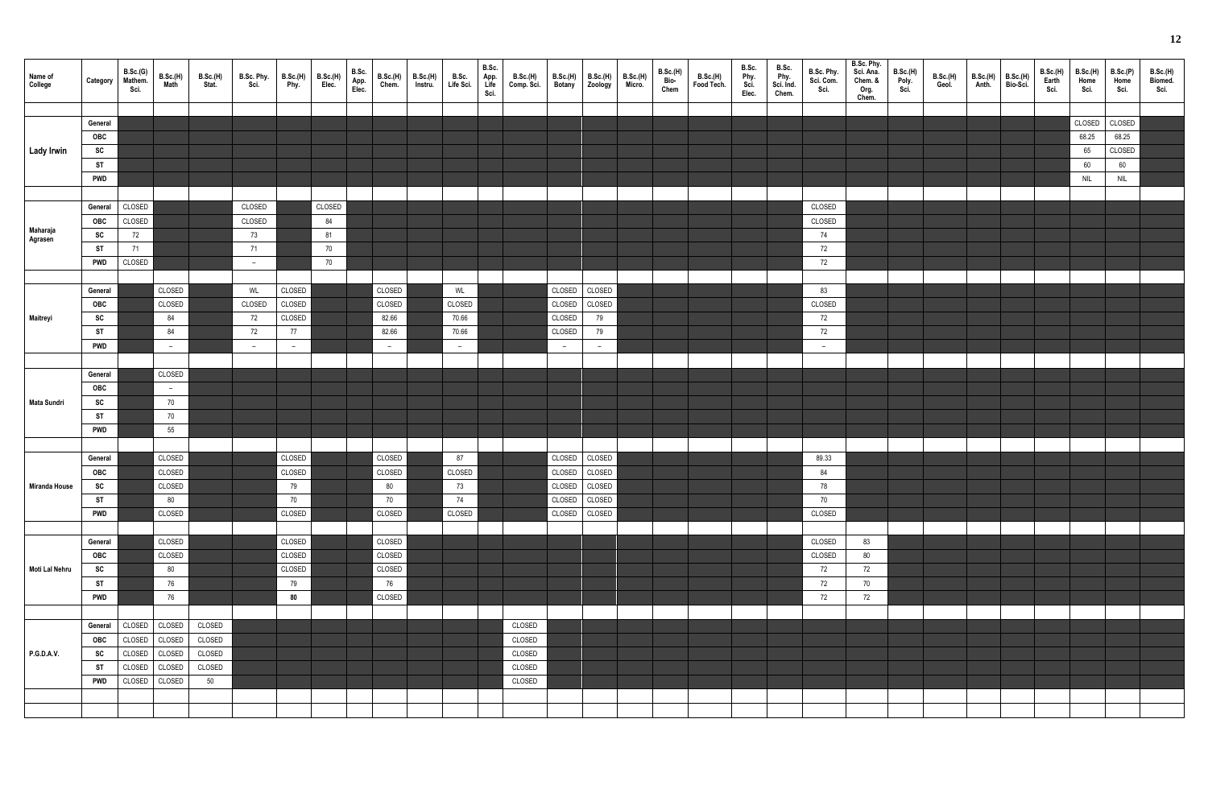| Name of<br>College | Category   | B.Sc.(G)<br>Mathem.<br>Sci. | B.Sc.(H)<br>Math         | <b>B.Sc.(H)</b><br>Stat. | B.Sc. Phy.<br>Sci. | B.Sc.(H)<br>Phy. | B.Sc.(H)<br>Elec. | B.Sc.<br>App.<br>Elec. | B.Sc.(H)<br>Chem. | B.Sc.(H)<br>Instru. | B.Sc.<br>Life Sci. | B.Sc.<br>App.<br>Life<br>Sci. | B.Sc.(H)<br>Comp. Sci. | <b>B.Sc.(H)</b><br><b>Botany</b> | B.Sc.(H)<br>Zoology | <b>B.Sc.(H)</b><br>Micro. | <b>B.Sc.(H)</b><br>Bio-<br>Chem | B.Sc.(H)<br>Food Tech. | B.Sc.<br>Phy.<br>Sci.<br>Elec. | B.Sc.<br>Phy.<br>Sci. Ind.<br>Chem. | B.Sc. Phy.<br>Sci. Com.<br>Sci. | B.Sc. Phy.<br>Sci. Ana.<br>Chem. &<br>Org.<br>Chem. | <b>B.Sc.(H)</b><br>Poly.<br>Sci. | <b>B.Sc.(H)</b><br>Geol. | B.Sc.(H)<br>Anth. | B.Sc.(H)<br>Bio-Sci. | B.Sc.(H)<br>Earth<br>Sci. | <b>B.Sc.(H)</b><br>Home<br>Sci. | B.Sc.(P)<br>Home<br>Sci.    | B.Sc.(H)<br>Biomed.<br>Sci. |
|--------------------|------------|-----------------------------|--------------------------|--------------------------|--------------------|------------------|-------------------|------------------------|-------------------|---------------------|--------------------|-------------------------------|------------------------|----------------------------------|---------------------|---------------------------|---------------------------------|------------------------|--------------------------------|-------------------------------------|---------------------------------|-----------------------------------------------------|----------------------------------|--------------------------|-------------------|----------------------|---------------------------|---------------------------------|-----------------------------|-----------------------------|
|                    |            |                             |                          |                          |                    |                  |                   |                        |                   |                     |                    |                               |                        |                                  |                     |                           |                                 |                        |                                |                                     |                                 |                                                     |                                  |                          |                   |                      |                           |                                 |                             |                             |
|                    | General    |                             |                          |                          |                    |                  |                   |                        |                   |                     |                    |                               |                        |                                  |                     |                           |                                 |                        |                                |                                     |                                 |                                                     |                                  |                          |                   |                      |                           | CLOSED                          | CLOSED                      |                             |
|                    | OBC        |                             |                          |                          |                    |                  |                   |                        |                   |                     |                    |                               |                        |                                  |                     |                           |                                 |                        |                                |                                     |                                 |                                                     |                                  |                          |                   |                      |                           | 68.25                           | 68.25                       |                             |
| <b>Lady Irwin</b>  | SC         |                             |                          |                          |                    |                  |                   |                        |                   |                     |                    |                               |                        |                                  |                     |                           |                                 |                        |                                |                                     |                                 |                                                     |                                  |                          |                   |                      |                           | 65                              | CLOSED                      |                             |
|                    | <b>ST</b>  |                             |                          |                          |                    |                  |                   |                        |                   |                     |                    |                               |                        |                                  |                     |                           |                                 |                        |                                |                                     |                                 |                                                     |                                  |                          |                   |                      |                           | $60\,$                          | 60                          |                             |
|                    | <b>PWD</b> |                             |                          |                          |                    |                  |                   |                        |                   |                     |                    |                               |                        |                                  |                     |                           |                                 |                        |                                |                                     |                                 |                                                     |                                  |                          |                   |                      |                           | <b>NIL</b>                      | $\ensuremath{\mathsf{NIL}}$ |                             |
|                    |            |                             |                          |                          |                    |                  |                   |                        |                   |                     |                    |                               |                        |                                  |                     |                           |                                 |                        |                                |                                     |                                 |                                                     |                                  |                          |                   |                      |                           |                                 |                             |                             |
|                    | General    | CLOSED                      |                          |                          | CLOSED             |                  | CLOSED            |                        |                   |                     |                    |                               |                        |                                  |                     |                           |                                 |                        |                                |                                     | CLOSED                          |                                                     |                                  |                          |                   |                      |                           |                                 |                             |                             |
|                    | <b>OBC</b> | CLOSED                      |                          |                          | CLOSED             |                  | 84                |                        |                   |                     |                    |                               |                        |                                  |                     |                           |                                 |                        |                                |                                     | CLOSED                          |                                                     |                                  |                          |                   |                      |                           |                                 |                             |                             |
| Maharaja           | SC         | 72                          |                          |                          | 73                 |                  | 81                |                        |                   |                     |                    |                               |                        |                                  |                     |                           |                                 |                        |                                |                                     | 74                              |                                                     |                                  |                          |                   |                      |                           |                                 |                             |                             |
| Agrasen            | <b>ST</b>  | 71                          |                          |                          | 71                 |                  | 70                |                        |                   |                     |                    |                               |                        |                                  |                     |                           |                                 |                        |                                |                                     | 72                              |                                                     |                                  |                          |                   |                      |                           |                                 |                             |                             |
|                    | <b>PWD</b> | CLOSED                      |                          |                          |                    |                  | 70                |                        |                   |                     |                    |                               |                        |                                  |                     |                           |                                 |                        |                                |                                     | $72\,$                          |                                                     |                                  |                          |                   |                      |                           |                                 |                             |                             |
|                    |            |                             |                          |                          | $-$                |                  |                   |                        |                   |                     |                    |                               |                        |                                  |                     |                           |                                 |                        |                                |                                     |                                 |                                                     |                                  |                          |                   |                      |                           |                                 |                             |                             |
|                    |            |                             |                          |                          |                    |                  |                   |                        |                   |                     |                    |                               |                        |                                  |                     |                           |                                 |                        |                                |                                     |                                 |                                                     |                                  |                          |                   |                      |                           |                                 |                             |                             |
|                    | General    |                             | CLOSED                   |                          | WL                 | CLOSED           |                   |                        | CLOSED            |                     | WL                 |                               |                        | CLOSED                           | CLOSED              |                           |                                 |                        |                                |                                     | 83                              |                                                     |                                  |                          |                   |                      |                           |                                 |                             |                             |
|                    | OBC        |                             | CLOSED                   |                          | CLOSED             | CLOSED           |                   |                        | CLOSED            |                     | CLOSED             |                               |                        | CLOSED                           | CLOSED              |                           |                                 |                        |                                |                                     | CLOSED                          |                                                     |                                  |                          |                   |                      |                           |                                 |                             |                             |
| Maitreyi           | SC         |                             | 84                       |                          | 72                 | CLOSED           |                   |                        | 82.66             |                     | 70.66              |                               |                        | CLOSED                           | 79                  |                           |                                 |                        |                                |                                     | 72                              |                                                     |                                  |                          |                   |                      |                           |                                 |                             |                             |
|                    | <b>ST</b>  |                             | 84                       |                          | 72                 | 77               |                   |                        | 82.66             |                     | 70.66              |                               |                        | CLOSED                           | 79                  |                           |                                 |                        |                                |                                     | 72                              |                                                     |                                  |                          |                   |                      |                           |                                 |                             |                             |
|                    | <b>PWD</b> |                             | $\overline{\phantom{a}}$ |                          | $-$                | $-$              |                   |                        | $\sim$            |                     | $\overline{a}$     |                               |                        | $-$                              | $-$                 |                           |                                 |                        |                                |                                     | $-$                             |                                                     |                                  |                          |                   |                      |                           |                                 |                             |                             |
|                    |            |                             |                          |                          |                    |                  |                   |                        |                   |                     |                    |                               |                        |                                  |                     |                           |                                 |                        |                                |                                     |                                 |                                                     |                                  |                          |                   |                      |                           |                                 |                             |                             |
|                    | General    |                             | CLOSED                   |                          |                    |                  |                   |                        |                   |                     |                    |                               |                        |                                  |                     |                           |                                 |                        |                                |                                     |                                 |                                                     |                                  |                          |                   |                      |                           |                                 |                             |                             |
|                    | OBC        |                             | $\sim$                   |                          |                    |                  |                   |                        |                   |                     |                    |                               |                        |                                  |                     |                           |                                 |                        |                                |                                     |                                 |                                                     |                                  |                          |                   |                      |                           |                                 |                             |                             |
| Mata Sundri        | SC         |                             | 70                       |                          |                    |                  |                   |                        |                   |                     |                    |                               |                        |                                  |                     |                           |                                 |                        |                                |                                     |                                 |                                                     |                                  |                          |                   |                      |                           |                                 |                             |                             |
|                    | <b>ST</b>  |                             | 70                       |                          |                    |                  |                   |                        |                   |                     |                    |                               |                        |                                  |                     |                           |                                 |                        |                                |                                     |                                 |                                                     |                                  |                          |                   |                      |                           |                                 |                             |                             |
|                    | <b>PWD</b> |                             | 55                       |                          |                    |                  |                   |                        |                   |                     |                    |                               |                        |                                  |                     |                           |                                 |                        |                                |                                     |                                 |                                                     |                                  |                          |                   |                      |                           |                                 |                             |                             |
|                    |            |                             |                          |                          |                    |                  |                   |                        |                   |                     |                    |                               |                        |                                  |                     |                           |                                 |                        |                                |                                     |                                 |                                                     |                                  |                          |                   |                      |                           |                                 |                             |                             |
|                    | General    |                             | CLOSED                   |                          |                    | CLOSED           |                   |                        | CLOSED            |                     | 87                 |                               |                        | CLOSED                           | CLOSED              |                           |                                 |                        |                                |                                     | 89.33                           |                                                     |                                  |                          |                   |                      |                           |                                 |                             |                             |
|                    | OBC        |                             | CLOSED                   |                          |                    | CLOSED           |                   |                        | CLOSED            |                     | CLOSED             |                               |                        |                                  | CLOSED CLOSED       |                           |                                 |                        |                                |                                     | 84                              |                                                     |                                  |                          |                   |                      |                           |                                 |                             |                             |
|                    |            |                             |                          |                          |                    |                  |                   |                        |                   |                     |                    |                               |                        |                                  |                     |                           |                                 |                        |                                |                                     |                                 |                                                     |                                  |                          |                   |                      |                           |                                 |                             |                             |
| Miranda House      | SC         |                             | CLOSED                   |                          |                    | 79               |                   |                        | $80\,$            |                     | 73                 |                               |                        |                                  | CLOSED CLOSED       |                           |                                 |                        |                                |                                     | 78                              |                                                     |                                  |                          |                   |                      |                           |                                 |                             |                             |
|                    | <b>ST</b>  |                             | 80                       |                          |                    | 70               |                   |                        | 70                |                     | 74                 |                               |                        | CLOSED                           | CLOSED              |                           |                                 |                        |                                |                                     | 70                              |                                                     |                                  |                          |                   |                      |                           |                                 |                             |                             |
|                    | <b>PWD</b> |                             | CLOSED                   |                          |                    | CLOSED           |                   |                        | CLOSED            |                     | CLOSED             |                               |                        |                                  | CLOSED CLOSED       |                           |                                 |                        |                                |                                     | CLOSED                          |                                                     |                                  |                          |                   |                      |                           |                                 |                             |                             |
|                    |            |                             |                          |                          |                    |                  |                   |                        |                   |                     |                    |                               |                        |                                  |                     |                           |                                 |                        |                                |                                     |                                 |                                                     |                                  |                          |                   |                      |                           |                                 |                             |                             |
|                    | General    |                             | CLOSED                   |                          |                    | CLOSED           |                   |                        | CLOSED            |                     |                    |                               |                        |                                  |                     |                           |                                 |                        |                                |                                     | CLOSED                          | 83                                                  |                                  |                          |                   |                      |                           |                                 |                             |                             |
|                    | OBC        |                             | CLOSED                   |                          |                    | CLOSED           |                   |                        | CLOSED            |                     |                    |                               |                        |                                  |                     |                           |                                 |                        |                                |                                     | CLOSED                          | 80                                                  |                                  |                          |                   |                      |                           |                                 |                             |                             |
| Moti Lal Nehru     | SC         |                             | 80                       |                          |                    | CLOSED           |                   |                        | CLOSED            |                     |                    |                               |                        |                                  |                     |                           |                                 |                        |                                |                                     | 72                              | 72                                                  |                                  |                          |                   |                      |                           |                                 |                             |                             |
|                    | <b>ST</b>  |                             | 76                       |                          |                    | 79               |                   |                        | 76                |                     |                    |                               |                        |                                  |                     |                           |                                 |                        |                                |                                     | 72                              | 70                                                  |                                  |                          |                   |                      |                           |                                 |                             |                             |
|                    | <b>PWD</b> |                             | 76                       |                          |                    | 80               |                   |                        | CLOSED            |                     |                    |                               |                        |                                  |                     |                           |                                 |                        |                                |                                     | 72                              | 72                                                  |                                  |                          |                   |                      |                           |                                 |                             |                             |
|                    |            |                             |                          |                          |                    |                  |                   |                        |                   |                     |                    |                               |                        |                                  |                     |                           |                                 |                        |                                |                                     |                                 |                                                     |                                  |                          |                   |                      |                           |                                 |                             |                             |
|                    | General    | CLOSED                      | CLOSED                   | CLOSED                   |                    |                  |                   |                        |                   |                     |                    |                               | CLOSED                 |                                  |                     |                           |                                 |                        |                                |                                     |                                 |                                                     |                                  |                          |                   |                      |                           |                                 |                             |                             |
|                    | OBC        | CLOSED                      | CLOSED                   | CLOSED                   |                    |                  |                   |                        |                   |                     |                    |                               | CLOSED                 |                                  |                     |                           |                                 |                        |                                |                                     |                                 |                                                     |                                  |                          |                   |                      |                           |                                 |                             |                             |
| <b>P.G.D.A.V.</b>  | SC         | CLOSED                      | CLOSED                   | CLOSED                   |                    |                  |                   |                        |                   |                     |                    |                               | CLOSED                 |                                  |                     |                           |                                 |                        |                                |                                     |                                 |                                                     |                                  |                          |                   |                      |                           |                                 |                             |                             |
|                    | <b>ST</b>  | CLOSED                      | CLOSED                   | CLOSED                   |                    |                  |                   |                        |                   |                     |                    |                               | CLOSED                 |                                  |                     |                           |                                 |                        |                                |                                     |                                 |                                                     |                                  |                          |                   |                      |                           |                                 |                             |                             |
|                    | <b>PWD</b> | CLOSED                      | CLOSED                   | 50                       |                    |                  |                   |                        |                   |                     |                    |                               | CLOSED                 |                                  |                     |                           |                                 |                        |                                |                                     |                                 |                                                     |                                  |                          |                   |                      |                           |                                 |                             |                             |
|                    |            |                             |                          |                          |                    |                  |                   |                        |                   |                     |                    |                               |                        |                                  |                     |                           |                                 |                        |                                |                                     |                                 |                                                     |                                  |                          |                   |                      |                           |                                 |                             |                             |
|                    |            |                             |                          |                          |                    |                  |                   |                        |                   |                     |                    |                               |                        |                                  |                     |                           |                                 |                        |                                |                                     |                                 |                                                     |                                  |                          |                   |                      |                           |                                 |                             |                             |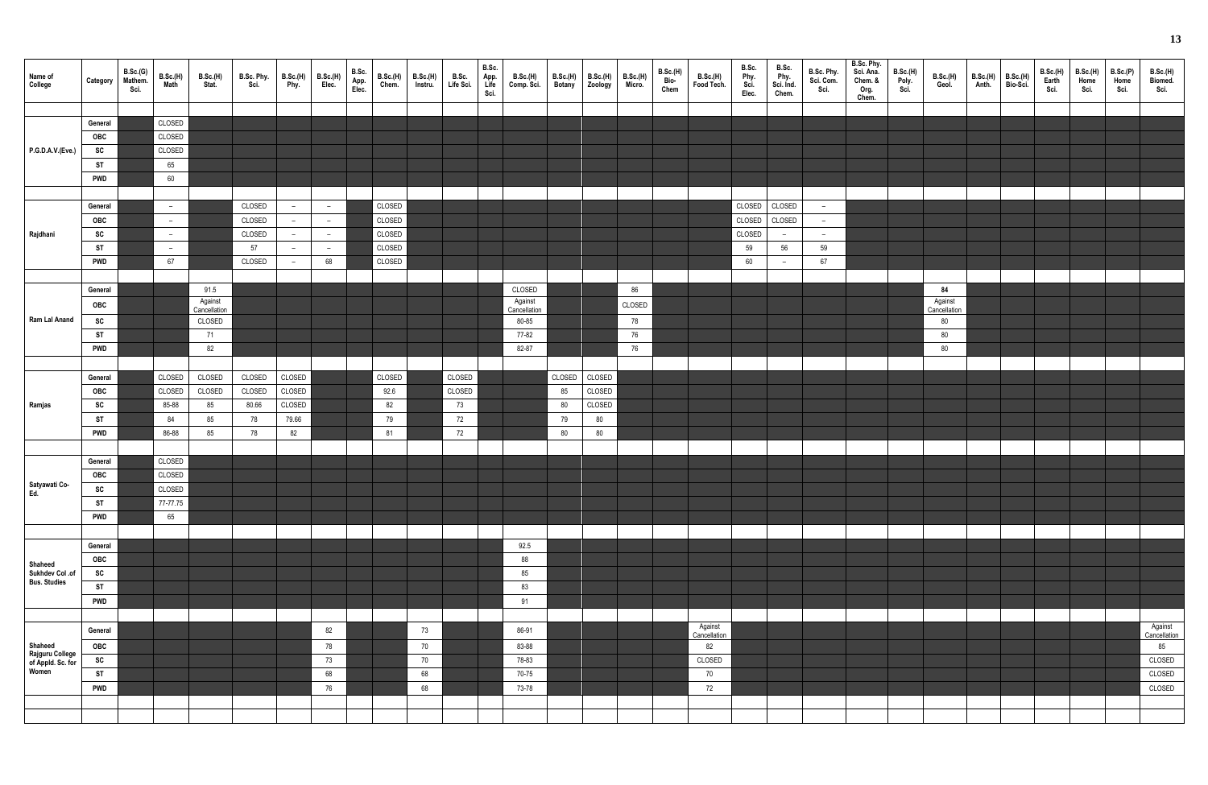| Name of<br>College                            | Category                | B.Sc.(G)<br>Mathem.<br>Sci. | B.Sc.(H)<br>Math         | <b>B.Sc.(H)</b><br>Stat. | B.Sc. Phy.<br>Sci. | B.Sc.(H)<br>Phy.         | B.Sc.(H)<br>Elec.        | B.Sc.<br>App.<br>Elec. | B.Sc.(H)<br>Chem. | <b>B.Sc.(H)</b><br>Instru. | B.Sc.<br>Life Sci. | B.Sc.<br>App.<br>Life<br>Sci. | B.Sc.(H)<br>Comp. Sci. | B.Sc.(H)<br>Botany | B.Sc.(H)<br>Zoology | B.Sc.(H)<br>Micro. | <b>B.Sc.(H)</b><br>Bio-<br>Chem | <b>B.Sc.(H)</b><br>Food Tech. | B.Sc.<br>Phy.<br>Sci.<br>Elec. | B.Sc.<br>Phy.<br>Sci. Ind.<br>Chem. | B.Sc. Phy.<br>Sci. Com.<br>Sci. | B.Sc. Phy.<br>Sci. Ana.<br>Chem. &<br>Org.<br>Chem. | B.Sc.(H)<br>Poly.<br>Sci. | B.Sc.(H)<br>Geol. | B.Sc.(H)<br>Anth. | B.Sc.(H)<br>Bio-Sci. | B.Sc.(H)<br>Earth<br>Sci. | B.Sc.(H)<br>Home<br>Sci. | B.Sc.(P)<br>Home<br>Sci. | B.Sc.(H)<br>Biomed.<br>Sci. |
|-----------------------------------------------|-------------------------|-----------------------------|--------------------------|--------------------------|--------------------|--------------------------|--------------------------|------------------------|-------------------|----------------------------|--------------------|-------------------------------|------------------------|--------------------|---------------------|--------------------|---------------------------------|-------------------------------|--------------------------------|-------------------------------------|---------------------------------|-----------------------------------------------------|---------------------------|-------------------|-------------------|----------------------|---------------------------|--------------------------|--------------------------|-----------------------------|
|                                               | General                 |                             | CLOSED                   |                          |                    |                          |                          |                        |                   |                            |                    |                               |                        |                    |                     |                    |                                 |                               |                                |                                     |                                 |                                                     |                           |                   |                   |                      |                           |                          |                          |                             |
|                                               | OBC                     |                             | CLOSED                   |                          |                    |                          |                          |                        |                   |                            |                    |                               |                        |                    |                     |                    |                                 |                               |                                |                                     |                                 |                                                     |                           |                   |                   |                      |                           |                          |                          |                             |
| P.G.D.A.V.(Eve.)                              | SC                      |                             | CLOSED                   |                          |                    |                          |                          |                        |                   |                            |                    |                               |                        |                    |                     |                    |                                 |                               |                                |                                     |                                 |                                                     |                           |                   |                   |                      |                           |                          |                          |                             |
|                                               | ST                      |                             | 65                       |                          |                    |                          |                          |                        |                   |                            |                    |                               |                        |                    |                     |                    |                                 |                               |                                |                                     |                                 |                                                     |                           |                   |                   |                      |                           |                          |                          |                             |
|                                               | <b>PWD</b>              |                             | 60                       |                          |                    |                          |                          |                        |                   |                            |                    |                               |                        |                    |                     |                    |                                 |                               |                                |                                     |                                 |                                                     |                           |                   |                   |                      |                           |                          |                          |                             |
|                                               |                         |                             |                          |                          |                    |                          |                          |                        |                   |                            |                    |                               |                        |                    |                     |                    |                                 |                               |                                |                                     |                                 |                                                     |                           |                   |                   |                      |                           |                          |                          |                             |
|                                               | General                 |                             | $\overline{\phantom{a}}$ |                          | CLOSED             | $\overline{a}$           | $\overline{\phantom{a}}$ |                        | CLOSED            |                            |                    |                               |                        |                    |                     |                    |                                 |                               | CLOSED                         | CLOSED                              | $\overline{\phantom{a}}$        |                                                     |                           |                   |                   |                      |                           |                          |                          |                             |
|                                               | OBC                     |                             | $\overline{\phantom{a}}$ |                          | CLOSED             | $\overline{a}$           | $\overline{\phantom{a}}$ |                        | CLOSED            |                            |                    |                               |                        |                    |                     |                    |                                 |                               | CLOSED                         | CLOSED                              | $-$                             |                                                     |                           |                   |                   |                      |                           |                          |                          |                             |
| Rajdhani                                      | SC                      |                             | $\overline{\phantom{a}}$ |                          | CLOSED             | $\overline{\phantom{m}}$ | $\overline{\phantom{m}}$ |                        | CLOSED            |                            |                    |                               |                        |                    |                     |                    |                                 |                               | CLOSED                         | $-$                                 | $\overline{\phantom{0}}$        |                                                     |                           |                   |                   |                      |                           |                          |                          |                             |
|                                               | <b>ST</b>               |                             | $-$                      |                          | 57                 | $\overline{a}$           | $\overline{\phantom{a}}$ |                        | CLOSED            |                            |                    |                               |                        |                    |                     |                    |                                 |                               | 59                             | 56                                  | 59                              |                                                     |                           |                   |                   |                      |                           |                          |                          |                             |
|                                               | <b>PWD</b>              |                             | 67                       |                          | CLOSED             | $-$                      | 68                       |                        | CLOSED            |                            |                    |                               |                        |                    |                     |                    |                                 |                               | 60                             | $\overline{\phantom{0}}$            | 67                              |                                                     |                           |                   |                   |                      |                           |                          |                          |                             |
|                                               |                         |                             |                          |                          |                    |                          |                          |                        |                   |                            |                    |                               |                        |                    |                     |                    |                                 |                               |                                |                                     |                                 |                                                     |                           |                   |                   |                      |                           |                          |                          |                             |
|                                               | General                 |                             |                          | 91.5                     |                    |                          |                          |                        |                   |                            |                    |                               | CLOSED                 |                    |                     | 86                 |                                 |                               |                                |                                     |                                 |                                                     |                           | 84                |                   |                      |                           |                          |                          |                             |
|                                               | OBC                     |                             |                          | Against                  |                    |                          |                          |                        |                   |                            |                    |                               | Against                |                    |                     | CLOSED             |                                 |                               |                                |                                     |                                 |                                                     |                           | Against           |                   |                      |                           |                          |                          |                             |
| Ram Lal Anand                                 |                         |                             |                          | Cancellation             |                    |                          |                          |                        |                   |                            |                    |                               | Cancellation           |                    |                     |                    |                                 |                               |                                |                                     |                                 |                                                     |                           | Cancellation      |                   |                      |                           |                          |                          |                             |
|                                               | SC                      |                             |                          | CLOSED                   |                    |                          |                          |                        |                   |                            |                    |                               | 80-85                  |                    |                     | 78                 |                                 |                               |                                |                                     |                                 |                                                     |                           | 80                |                   |                      |                           |                          |                          |                             |
|                                               | <b>ST</b><br><b>PWD</b> |                             |                          | 71                       |                    |                          |                          |                        |                   |                            |                    |                               | 77-82<br>82-87         |                    |                     | 76<br>76           |                                 |                               |                                |                                     |                                 |                                                     |                           | 80                |                   |                      |                           |                          |                          |                             |
|                                               |                         |                             |                          | 82                       |                    |                          |                          |                        |                   |                            |                    |                               |                        |                    |                     |                    |                                 |                               |                                |                                     |                                 |                                                     |                           | 80                |                   |                      |                           |                          |                          |                             |
|                                               |                         |                             |                          |                          |                    |                          |                          |                        |                   |                            |                    |                               |                        |                    |                     |                    |                                 |                               |                                |                                     |                                 |                                                     |                           |                   |                   |                      |                           |                          |                          |                             |
|                                               | General                 |                             | CLOSED                   | CLOSED                   | CLOSED             | CLOSED                   |                          |                        | CLOSED            |                            | CLOSED             |                               |                        | CLOSED             | CLOSED              |                    |                                 |                               |                                |                                     |                                 |                                                     |                           |                   |                   |                      |                           |                          |                          |                             |
|                                               | OBC                     |                             | CLOSED                   | CLOSED                   | CLOSED             | CLOSED                   |                          |                        | 92.6              |                            | CLOSED             |                               |                        | 85                 | CLOSED              |                    |                                 |                               |                                |                                     |                                 |                                                     |                           |                   |                   |                      |                           |                          |                          |                             |
| Ramjas                                        | SC                      |                             | 85-88                    | 85                       | 80.66              | CLOSED                   |                          |                        | 82                |                            | 73                 |                               |                        | 80                 | CLOSED              |                    |                                 |                               |                                |                                     |                                 |                                                     |                           |                   |                   |                      |                           |                          |                          |                             |
|                                               | <b>ST</b><br><b>PWD</b> |                             | 84<br>86-88              | 85<br>85                 | 78                 | 79.66<br>82              |                          |                        | 79                |                            | 72<br>72           |                               |                        | 79<br>80           | 80                  |                    |                                 |                               |                                |                                     |                                 |                                                     |                           |                   |                   |                      |                           |                          |                          |                             |
|                                               |                         |                             |                          |                          | 78                 |                          |                          |                        | 81                |                            |                    |                               |                        |                    | $80\,$              |                    |                                 |                               |                                |                                     |                                 |                                                     |                           |                   |                   |                      |                           |                          |                          |                             |
|                                               |                         |                             |                          |                          |                    |                          |                          |                        |                   |                            |                    |                               |                        |                    |                     |                    |                                 |                               |                                |                                     |                                 |                                                     |                           |                   |                   |                      |                           |                          |                          |                             |
|                                               | General                 |                             | CLOSED<br>CLOSED         |                          |                    |                          |                          |                        |                   |                            |                    |                               |                        |                    |                     |                    |                                 |                               |                                |                                     |                                 |                                                     |                           |                   |                   |                      |                           |                          |                          |                             |
| Satyawati Co-<br>Ed.                          | OBC<br>SC               |                             | CLOSED                   |                          |                    |                          |                          |                        |                   |                            |                    |                               |                        |                    |                     |                    |                                 |                               |                                |                                     |                                 |                                                     |                           |                   |                   |                      |                           |                          |                          |                             |
|                                               | <b>ST</b>               |                             | 77-77.75                 |                          |                    |                          |                          |                        |                   |                            |                    |                               |                        |                    |                     |                    |                                 |                               |                                |                                     |                                 |                                                     |                           |                   |                   |                      |                           |                          |                          |                             |
|                                               | <b>PWD</b>              |                             | 65                       |                          |                    |                          |                          |                        |                   |                            |                    |                               |                        |                    |                     |                    |                                 |                               |                                |                                     |                                 |                                                     |                           |                   |                   |                      |                           |                          |                          |                             |
|                                               |                         |                             |                          |                          |                    |                          |                          |                        |                   |                            |                    |                               |                        |                    |                     |                    |                                 |                               |                                |                                     |                                 |                                                     |                           |                   |                   |                      |                           |                          |                          |                             |
|                                               | General                 |                             |                          |                          |                    |                          |                          |                        |                   |                            |                    |                               | 92.5                   |                    |                     |                    |                                 |                               |                                |                                     |                                 |                                                     |                           |                   |                   |                      |                           |                          |                          |                             |
|                                               | OBC                     |                             |                          |                          |                    |                          |                          |                        |                   |                            |                    |                               | 88                     |                    |                     |                    |                                 |                               |                                |                                     |                                 |                                                     |                           |                   |                   |                      |                           |                          |                          |                             |
| Shaheed                                       | SC                      |                             |                          |                          |                    |                          |                          |                        |                   |                            |                    |                               | 85                     |                    |                     |                    |                                 |                               |                                |                                     |                                 |                                                     |                           |                   |                   |                      |                           |                          |                          |                             |
| Sukhdev Col .of<br>Bus. Studies               | <b>ST</b>               |                             |                          |                          |                    |                          |                          |                        |                   |                            |                    |                               | 83                     |                    |                     |                    |                                 |                               |                                |                                     |                                 |                                                     |                           |                   |                   |                      |                           |                          |                          |                             |
|                                               | <b>PWD</b>              |                             |                          |                          |                    |                          |                          |                        |                   |                            |                    |                               | 91                     |                    |                     |                    |                                 |                               |                                |                                     |                                 |                                                     |                           |                   |                   |                      |                           |                          |                          |                             |
|                                               |                         |                             |                          |                          |                    |                          |                          |                        |                   |                            |                    |                               |                        |                    |                     |                    |                                 |                               |                                |                                     |                                 |                                                     |                           |                   |                   |                      |                           |                          |                          |                             |
|                                               |                         |                             |                          |                          |                    |                          |                          |                        |                   |                            |                    |                               |                        |                    |                     |                    |                                 | Against                       |                                |                                     |                                 |                                                     |                           |                   |                   |                      |                           |                          |                          | Against                     |
|                                               | General                 |                             |                          |                          |                    |                          | 82                       |                        |                   | 73                         |                    |                               | 86-91                  |                    |                     |                    |                                 | Cancellation                  |                                |                                     |                                 |                                                     |                           |                   |                   |                      |                           |                          |                          | Cancellation                |
| Shaheed                                       | OBC                     |                             |                          |                          |                    |                          | 78                       |                        |                   | 70                         |                    |                               | 83-88                  |                    |                     |                    |                                 | 82                            |                                |                                     |                                 |                                                     |                           |                   |                   |                      |                           |                          |                          | 85                          |
| Rajguru College<br>of Appld. Sc. for<br>Women | SC                      |                             |                          |                          |                    |                          | 73                       |                        |                   | 70                         |                    |                               | 78-83                  |                    |                     |                    |                                 | CLOSED                        |                                |                                     |                                 |                                                     |                           |                   |                   |                      |                           |                          |                          | CLOSED                      |
|                                               | <b>ST</b>               |                             |                          |                          |                    |                          | 68                       |                        |                   | 68                         |                    |                               | 70-75                  |                    |                     |                    |                                 | 70                            |                                |                                     |                                 |                                                     |                           |                   |                   |                      |                           |                          |                          | CLOSED                      |
|                                               | <b>PWD</b>              |                             |                          |                          |                    |                          | 76                       |                        |                   | 68                         |                    |                               | 73-78                  |                    |                     |                    |                                 | 72                            |                                |                                     |                                 |                                                     |                           |                   |                   |                      |                           |                          |                          | CLOSED                      |
|                                               |                         |                             |                          |                          |                    |                          |                          |                        |                   |                            |                    |                               |                        |                    |                     |                    |                                 |                               |                                |                                     |                                 |                                                     |                           |                   |                   |                      |                           |                          |                          |                             |
|                                               |                         |                             |                          |                          |                    |                          |                          |                        |                   |                            |                    |                               |                        |                    |                     |                    |                                 |                               |                                |                                     |                                 |                                                     |                           |                   |                   |                      |                           |                          |                          |                             |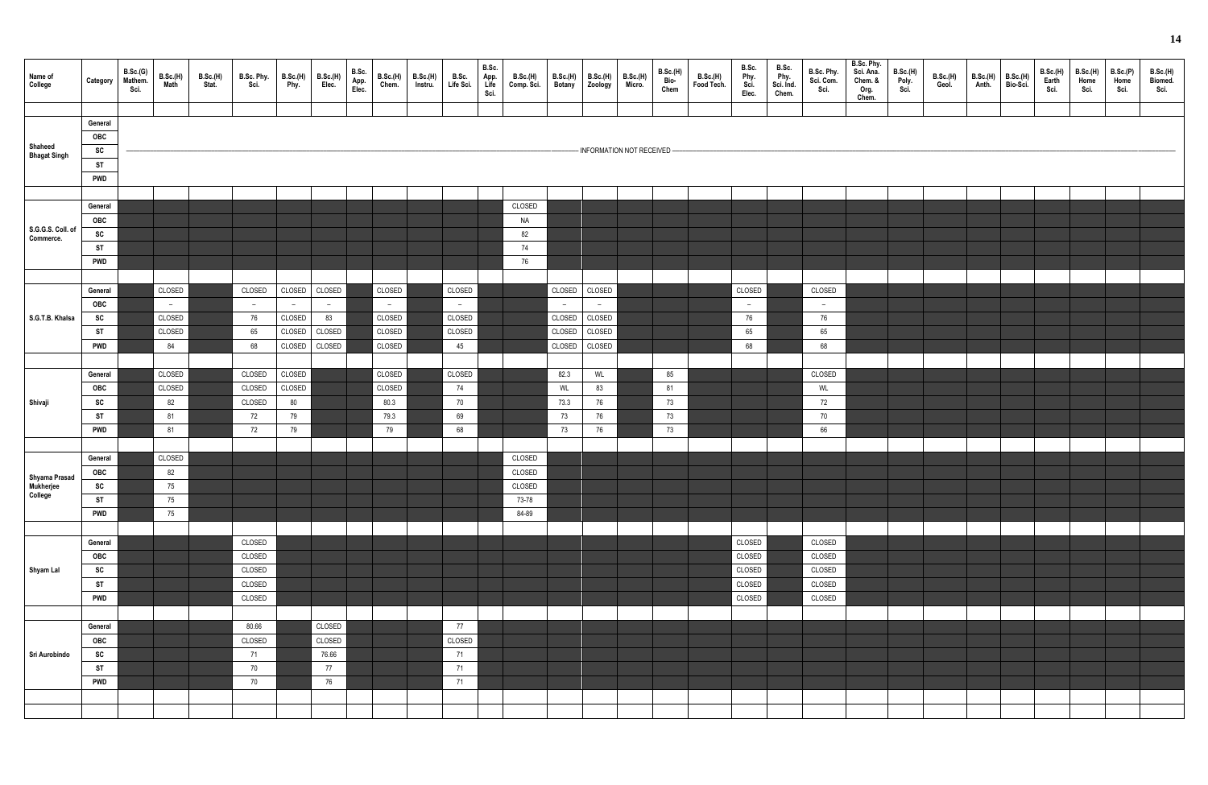| Name of<br>College                    | Category   | B.Sc.(G)<br>B.Sc.(H)<br>Math<br>Mathem.<br>Sci. | <b>B.Sc.(H)</b><br>Stat. | B.Sc. Phy.<br>Sci. | B.Sc.(H)<br>Phy. | B.Sc.(H)<br>Elec. | B.Sc.<br>App.<br>Elec. | B.Sc.(H)<br>Chem. | B.Sc.(H)<br>Instru. | B.Sc.<br>Life Sci. | B.Sc.<br>App.<br>Life<br>Sci. | B.Sc.(H)<br>Comp. Sci. | B.Sc.(H)<br>Botany | B.Sc.(H)  <br>  Zoology | <b>B.Sc.(H)</b><br>Micro.    | <b>B.Sc.(H)</b><br>Bio-<br>Chem | B.Sc.(H)<br>Food Tech. | B.Sc.<br>Phy.<br>Sci.<br>Elec. | B.Sc.<br>Phy.<br>Sci. Ind.<br>Chem. | B.Sc. Phy.<br>Sci. Com.<br>Sci. | B.Sc. Phy.<br>Sci. Ana.<br>Chem. &<br>Org.<br>Chem. | <b>B.Sc.(H)</b><br>Poly.<br>Sci. | B.Sc.(H)<br>Geol. | B.Sc.(H)<br>Anth. | B.Sc.(H)<br>Bio-Sci. | B.Sc.(H)<br>Earth<br>Sci. | B.Sc.(H)<br>Home<br>Sci. | B.Sc.(P)<br>Home<br>Sci. | B.Sc.(H)<br>Biomed.<br>Sci. |
|---------------------------------------|------------|-------------------------------------------------|--------------------------|--------------------|------------------|-------------------|------------------------|-------------------|---------------------|--------------------|-------------------------------|------------------------|--------------------|-------------------------|------------------------------|---------------------------------|------------------------|--------------------------------|-------------------------------------|---------------------------------|-----------------------------------------------------|----------------------------------|-------------------|-------------------|----------------------|---------------------------|--------------------------|--------------------------|-----------------------------|
|                                       |            |                                                 |                          |                    |                  |                   |                        |                   |                     |                    |                               |                        |                    |                         |                              |                                 |                        |                                |                                     |                                 |                                                     |                                  |                   |                   |                      |                           |                          |                          |                             |
|                                       | General    |                                                 |                          |                    |                  |                   |                        |                   |                     |                    |                               |                        |                    |                         |                              |                                 |                        |                                |                                     |                                 |                                                     |                                  |                   |                   |                      |                           |                          |                          |                             |
|                                       | OBC        |                                                 |                          |                    |                  |                   |                        |                   |                     |                    |                               |                        |                    |                         |                              |                                 |                        |                                |                                     |                                 |                                                     |                                  |                   |                   |                      |                           |                          |                          |                             |
| Shaheed<br>Bhagat Singh               | SC         |                                                 |                          |                    |                  |                   |                        |                   |                     |                    |                               |                        |                    |                         | - INFORMATION NOT RECEIVED - |                                 |                        |                                |                                     |                                 |                                                     |                                  |                   |                   |                      |                           |                          |                          |                             |
|                                       |            |                                                 |                          |                    |                  |                   |                        |                   |                     |                    |                               |                        |                    |                         |                              |                                 |                        |                                |                                     |                                 |                                                     |                                  |                   |                   |                      |                           |                          |                          |                             |
|                                       | <b>ST</b>  |                                                 |                          |                    |                  |                   |                        |                   |                     |                    |                               |                        |                    |                         |                              |                                 |                        |                                |                                     |                                 |                                                     |                                  |                   |                   |                      |                           |                          |                          |                             |
|                                       | <b>PWD</b> |                                                 |                          |                    |                  |                   |                        |                   |                     |                    |                               |                        |                    |                         |                              |                                 |                        |                                |                                     |                                 |                                                     |                                  |                   |                   |                      |                           |                          |                          |                             |
|                                       |            |                                                 |                          |                    |                  |                   |                        |                   |                     |                    |                               |                        |                    |                         |                              |                                 |                        |                                |                                     |                                 |                                                     |                                  |                   |                   |                      |                           |                          |                          |                             |
|                                       |            |                                                 |                          |                    |                  |                   |                        |                   |                     |                    |                               |                        |                    |                         |                              |                                 |                        |                                |                                     |                                 |                                                     |                                  |                   |                   |                      |                           |                          |                          |                             |
|                                       | General    |                                                 |                          |                    |                  |                   |                        |                   |                     |                    |                               | CLOSED                 |                    |                         |                              |                                 |                        |                                |                                     |                                 |                                                     |                                  |                   |                   |                      |                           |                          |                          |                             |
|                                       | OBC        |                                                 |                          |                    |                  |                   |                        |                   |                     |                    |                               | <b>NA</b>              |                    |                         |                              |                                 |                        |                                |                                     |                                 |                                                     |                                  |                   |                   |                      |                           |                          |                          |                             |
| S.G.G.S. Coll. of<br>Commerce.        | SC         |                                                 |                          |                    |                  |                   |                        |                   |                     |                    |                               | 82                     |                    |                         |                              |                                 |                        |                                |                                     |                                 |                                                     |                                  |                   |                   |                      |                           |                          |                          |                             |
|                                       | <b>ST</b>  |                                                 |                          |                    |                  |                   |                        |                   |                     |                    |                               | 74                     |                    |                         |                              |                                 |                        |                                |                                     |                                 |                                                     |                                  |                   |                   |                      |                           |                          |                          |                             |
|                                       |            |                                                 |                          |                    |                  |                   |                        |                   |                     |                    |                               |                        |                    |                         |                              |                                 |                        |                                |                                     |                                 |                                                     |                                  |                   |                   |                      |                           |                          |                          |                             |
|                                       | <b>PWD</b> |                                                 |                          |                    |                  |                   |                        |                   |                     |                    |                               | 76                     |                    |                         |                              |                                 |                        |                                |                                     |                                 |                                                     |                                  |                   |                   |                      |                           |                          |                          |                             |
|                                       |            |                                                 |                          |                    |                  |                   |                        |                   |                     |                    |                               |                        |                    |                         |                              |                                 |                        |                                |                                     |                                 |                                                     |                                  |                   |                   |                      |                           |                          |                          |                             |
|                                       | General    | CLOSED                                          |                          | CLOSED             | CLOSED           | CLOSED            |                        | CLOSED            |                     | CLOSED             |                               |                        | CLOSED             | CLOSED                  |                              |                                 |                        | CLOSED                         |                                     | CLOSED                          |                                                     |                                  |                   |                   |                      |                           |                          |                          |                             |
|                                       | OBC        |                                                 |                          |                    |                  |                   |                        |                   |                     |                    |                               |                        |                    |                         |                              |                                 |                        |                                |                                     |                                 |                                                     |                                  |                   |                   |                      |                           |                          |                          |                             |
|                                       |            | $\sim$                                          |                          | $-$                | $-$              | $\overline{a}$    |                        | $\sim$            |                     | $-$                |                               |                        | $\sim$             | $\sim$                  |                              |                                 |                        | $\sim$                         |                                     | $-$                             |                                                     |                                  |                   |                   |                      |                           |                          |                          |                             |
| S.G.T.B. Khalsa                       | SC         | CLOSED                                          |                          | 76                 | CLOSED           | 83                |                        | CLOSED            |                     | CLOSED             |                               |                        | CLOSED             | CLOSED                  |                              |                                 |                        | 76                             |                                     | 76                              |                                                     |                                  |                   |                   |                      |                           |                          |                          |                             |
|                                       | ST         | CLOSED                                          |                          | 65                 | CLOSED           | CLOSED            |                        | CLOSED            |                     | CLOSED             |                               |                        | CLOSED             | CLOSED                  |                              |                                 |                        | 65                             |                                     | 65                              |                                                     |                                  |                   |                   |                      |                           |                          |                          |                             |
|                                       | <b>PWD</b> | 84                                              |                          | 68                 | CLOSED           | CLOSED            |                        | CLOSED            |                     | 45                 |                               |                        | CLOSED             | CLOSED                  |                              |                                 |                        | 68                             |                                     | 68                              |                                                     |                                  |                   |                   |                      |                           |                          |                          |                             |
|                                       |            |                                                 |                          |                    |                  |                   |                        |                   |                     |                    |                               |                        |                    |                         |                              |                                 |                        |                                |                                     |                                 |                                                     |                                  |                   |                   |                      |                           |                          |                          |                             |
|                                       |            |                                                 |                          |                    |                  |                   |                        |                   |                     |                    |                               |                        |                    |                         |                              |                                 |                        |                                |                                     |                                 |                                                     |                                  |                   |                   |                      |                           |                          |                          |                             |
|                                       | General    | CLOSED                                          |                          | CLOSED             | CLOSED           |                   |                        | CLOSED            |                     | CLOSED             |                               |                        | 82.3               | WL                      |                              | 85                              |                        |                                |                                     | CLOSED                          |                                                     |                                  |                   |                   |                      |                           |                          |                          |                             |
|                                       | OBC        | CLOSED                                          |                          | CLOSED             | CLOSED           |                   |                        | CLOSED            |                     | 74                 |                               |                        | WL                 | 83                      |                              | 81                              |                        |                                |                                     | WL                              |                                                     |                                  |                   |                   |                      |                           |                          |                          |                             |
|                                       |            |                                                 |                          |                    |                  |                   |                        |                   |                     |                    |                               |                        |                    |                         |                              |                                 |                        |                                |                                     |                                 |                                                     |                                  |                   |                   |                      |                           |                          |                          |                             |
| Shivaji                               | SC         | 82                                              |                          | CLOSED             | 80               |                   |                        | 80.3              |                     | 70                 |                               |                        | 73.3               | 76                      |                              | 73                              |                        |                                |                                     | $72\,$                          |                                                     |                                  |                   |                   |                      |                           |                          |                          |                             |
|                                       | ST         | 81                                              |                          | 72                 | 79               |                   |                        | 79.3              |                     | 69                 |                               |                        | 73                 | 76                      |                              | 73                              |                        |                                |                                     | 70                              |                                                     |                                  |                   |                   |                      |                           |                          |                          |                             |
|                                       | <b>PWD</b> | 81                                              |                          | 72                 | 79               |                   |                        | 79                |                     | 68                 |                               |                        | 73                 | 76                      |                              | 73                              |                        |                                |                                     | 66                              |                                                     |                                  |                   |                   |                      |                           |                          |                          |                             |
|                                       |            |                                                 |                          |                    |                  |                   |                        |                   |                     |                    |                               |                        |                    |                         |                              |                                 |                        |                                |                                     |                                 |                                                     |                                  |                   |                   |                      |                           |                          |                          |                             |
|                                       |            |                                                 |                          |                    |                  |                   |                        |                   |                     |                    |                               |                        |                    |                         |                              |                                 |                        |                                |                                     |                                 |                                                     |                                  |                   |                   |                      |                           |                          |                          |                             |
|                                       | General    | CLOSED                                          |                          |                    |                  |                   |                        |                   |                     |                    |                               | CLOSED                 |                    |                         |                              |                                 |                        |                                |                                     |                                 |                                                     |                                  |                   |                   |                      |                           |                          |                          |                             |
|                                       | OBC        | 82                                              |                          |                    |                  |                   |                        |                   |                     |                    |                               | CLOSED                 |                    |                         |                              |                                 |                        |                                |                                     |                                 |                                                     |                                  |                   |                   |                      |                           |                          |                          |                             |
| Shyama Prasad<br>Mukherjee<br>College | SC         | 75                                              |                          |                    |                  |                   |                        |                   |                     |                    |                               | CLOSED                 |                    |                         |                              |                                 |                        |                                |                                     |                                 |                                                     |                                  |                   |                   |                      |                           |                          |                          |                             |
|                                       | <b>ST</b>  |                                                 |                          |                    |                  |                   |                        |                   |                     |                    |                               |                        |                    |                         |                              |                                 |                        |                                |                                     |                                 |                                                     |                                  |                   |                   |                      |                           |                          |                          |                             |
|                                       |            | 75                                              |                          |                    |                  |                   |                        |                   |                     |                    |                               | 73-78                  |                    |                         |                              |                                 |                        |                                |                                     |                                 |                                                     |                                  |                   |                   |                      |                           |                          |                          |                             |
|                                       | <b>PWD</b> | 75                                              |                          |                    |                  |                   |                        |                   |                     |                    |                               | 84-89                  |                    |                         |                              |                                 |                        |                                |                                     |                                 |                                                     |                                  |                   |                   |                      |                           |                          |                          |                             |
|                                       |            |                                                 |                          |                    |                  |                   |                        |                   |                     |                    |                               |                        |                    |                         |                              |                                 |                        |                                |                                     |                                 |                                                     |                                  |                   |                   |                      |                           |                          |                          |                             |
|                                       | General    |                                                 |                          | CLOSED             |                  |                   |                        |                   |                     |                    |                               |                        |                    |                         |                              |                                 |                        | CLOSED                         |                                     | CLOSED                          |                                                     |                                  |                   |                   |                      |                           |                          |                          |                             |
|                                       |            |                                                 |                          |                    |                  |                   |                        |                   |                     |                    |                               |                        |                    |                         |                              |                                 |                        |                                |                                     |                                 |                                                     |                                  |                   |                   |                      |                           |                          |                          |                             |
|                                       | OBC        |                                                 |                          | CLOSED             |                  |                   |                        |                   |                     |                    |                               |                        |                    |                         |                              |                                 |                        | CLOSED                         |                                     | CLOSED                          |                                                     |                                  |                   |                   |                      |                           |                          |                          |                             |
| Shyam Lal                             | SC         |                                                 |                          | CLOSED             |                  |                   |                        |                   |                     |                    |                               |                        |                    |                         |                              |                                 |                        | CLOSED                         |                                     | CLOSED                          |                                                     |                                  |                   |                   |                      |                           |                          |                          |                             |
|                                       | <b>ST</b>  |                                                 |                          | CLOSED             |                  |                   |                        |                   |                     |                    |                               |                        |                    |                         |                              |                                 |                        | CLOSED                         |                                     | CLOSED                          |                                                     |                                  |                   |                   |                      |                           |                          |                          |                             |
|                                       | <b>PWD</b> |                                                 |                          | CLOSED             |                  |                   |                        |                   |                     |                    |                               |                        |                    |                         |                              |                                 |                        | CLOSED                         |                                     | CLOSED                          |                                                     |                                  |                   |                   |                      |                           |                          |                          |                             |
|                                       |            |                                                 |                          |                    |                  |                   |                        |                   |                     |                    |                               |                        |                    |                         |                              |                                 |                        |                                |                                     |                                 |                                                     |                                  |                   |                   |                      |                           |                          |                          |                             |
|                                       |            |                                                 |                          |                    |                  |                   |                        |                   |                     |                    |                               |                        |                    |                         |                              |                                 |                        |                                |                                     |                                 |                                                     |                                  |                   |                   |                      |                           |                          |                          |                             |
|                                       | General    |                                                 |                          | 80.66              |                  | CLOSED            |                        |                   |                     | 77                 |                               |                        |                    |                         |                              |                                 |                        |                                |                                     |                                 |                                                     |                                  |                   |                   |                      |                           |                          |                          |                             |
|                                       | OBC        |                                                 |                          | CLOSED             |                  | CLOSED            |                        |                   |                     | CLOSED             |                               |                        |                    |                         |                              |                                 |                        |                                |                                     |                                 |                                                     |                                  |                   |                   |                      |                           |                          |                          |                             |
| Sri Aurobindo                         | SC         |                                                 |                          | 71                 |                  | 76.66             |                        |                   |                     | 71                 |                               |                        |                    |                         |                              |                                 |                        |                                |                                     |                                 |                                                     |                                  |                   |                   |                      |                           |                          |                          |                             |
|                                       |            |                                                 |                          |                    |                  |                   |                        |                   |                     |                    |                               |                        |                    |                         |                              |                                 |                        |                                |                                     |                                 |                                                     |                                  |                   |                   |                      |                           |                          |                          |                             |
|                                       | <b>ST</b>  |                                                 |                          | 70                 |                  | 77                |                        |                   |                     | 71                 |                               |                        |                    |                         |                              |                                 |                        |                                |                                     |                                 |                                                     |                                  |                   |                   |                      |                           |                          |                          |                             |
|                                       | <b>PWD</b> |                                                 |                          | 70                 |                  | 76                |                        |                   |                     | 71                 |                               |                        |                    |                         |                              |                                 |                        |                                |                                     |                                 |                                                     |                                  |                   |                   |                      |                           |                          |                          |                             |
|                                       |            |                                                 |                          |                    |                  |                   |                        |                   |                     |                    |                               |                        |                    |                         |                              |                                 |                        |                                |                                     |                                 |                                                     |                                  |                   |                   |                      |                           |                          |                          |                             |
|                                       |            |                                                 |                          |                    |                  |                   |                        |                   |                     |                    |                               |                        |                    |                         |                              |                                 |                        |                                |                                     |                                 |                                                     |                                  |                   |                   |                      |                           |                          |                          |                             |
|                                       |            |                                                 |                          |                    |                  |                   |                        |                   |                     |                    |                               |                        |                    |                         |                              |                                 |                        |                                |                                     |                                 |                                                     |                                  |                   |                   |                      |                           |                          |                          |                             |